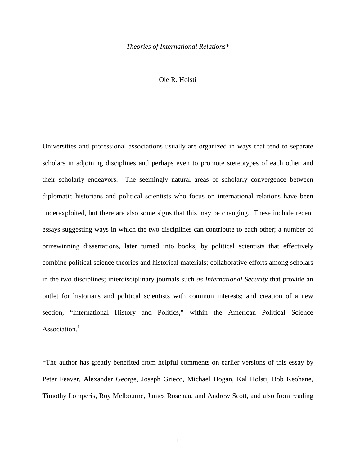#### *Theories of International Relations\**

#### Ole R. Holsti

Universities and professional associations usually are organized in ways that tend to separate scholars in adjoining disciplines and perhaps even to promote stereotypes of each other and their scholarly endeavors. The seemingly natural areas of scholarly convergence between diplomatic historians and political scientists who focus on international relations have been underexploited, but there are also some signs that this may be changing. These include recent essays suggesting ways in which the two disciplines can contribute to each other; a number of prizewinning dissertations, later turned into books, by political scientists that effectively combine political science theories and historical materials; collaborative efforts among scholars in the two disciplines; interdisciplinary journals such *as International Security* that provide an outlet for historians and political scientists with common interests; and creation of a new section, "International History and Politics," within the American Political Science Association. $<sup>1</sup>$ </sup>

\*The author has greatly benefited from helpful comments on earlier versions of this essay by Peter Feaver, Alexander George, Joseph Grieco, Michael Hogan, Kal Holsti, Bob Keohane, Timothy Lomperis, Roy Melbourne, James Rosenau, and Andrew Scott, and also from reading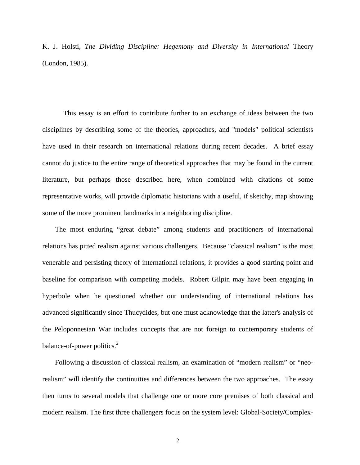K. J. Holsti, *The Dividing Discipline: Hegemony and Diversity in International* Theory (London, 1985).

This essay is an effort to contribute further to an exchange of ideas between the two disciplines by describing some of the theories, approaches, and "models" political scientists have used in their research on international relations during recent decades*.* A brief essay cannot do justice to the entire range of theoretical approaches that may be found in the current literature, but perhaps those described here, when combined with citations of some representative works, will provide diplomatic historians with a useful, if sketchy, map showing some of the more prominent landmarks in a neighboring discipline.

The most enduring "great debate" among students and practitioners of international relations has pitted realism against various challengers. Because "classical realism" is the most venerable and persisting theory of international relations, it provides a good starting point and baseline for comparison with competing models. Robert Gilpin may have been engaging in hyperbole when he questioned whether our understanding of international relations has advanced significantly since Thucydides, but one must acknowledge that the latter's analysis of the Peloponnesian War includes concepts that are not foreign to contemporary students of balance-of-power politics.<sup>2</sup>

Following a discussion of classical realism, an examination of "modern realism" or "neorealism" will identify the continuities and differences between the two approaches. The essay then turns to several models that challenge one or more core premises of both classical and modern realism. The first three challengers focus on the system level: Global-Society/Complex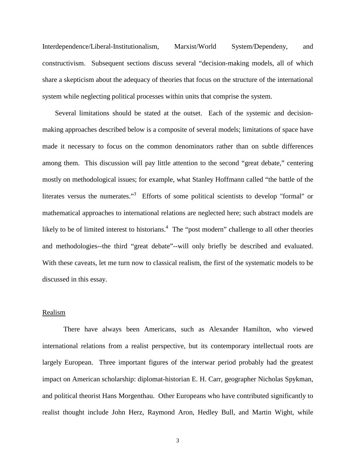Interdependence/Liberal-Institutionalism, Marxist/World System/Dependeny, and constructivism. Subsequent sections discuss several "decision-making models, all of which share a skepticism about the adequacy of theories that focus on the structure of the international system while neglecting political processes within units that comprise the system.

Several limitations should be stated at the outset. Each of the systemic and decisionmaking approaches described below is a composite of several models; limitations of space have made it necessary to focus on the common denominators rather than on subtle differences among them. This discussion will pay little attention to the second "great debate," centering mostly on methodological issues; for example, what Stanley Hoffmann called "the battle of the literates versus the numerates."<sup>3</sup> Efforts of some political scientists to develop "formal" or mathematical approaches to international relations are neglected here; such abstract models are likely to be of limited interest to historians.<sup>4</sup> The "post modern" challenge to all other theories and methodologies--the third "great debate"--will only briefly be described and evaluated. With these caveats, let me turn now to classical realism, the first of the systematic models to be discussed in this essay.

#### Realism

There have always been Americans, such as Alexander Hamilton, who viewed international relations from a realist perspective, but its contemporary intellectual roots are largely European. Three important figures of the interwar period probably had the greatest impact on American scholarship: diplomat-historian E. H. Carr, geographer Nicholas Spykman, and political theorist Hans Morgenthau. Other Europeans who have contributed significantly to realist thought include John Herz, Raymond Aron, Hedley Bull, and Martin Wight, while

3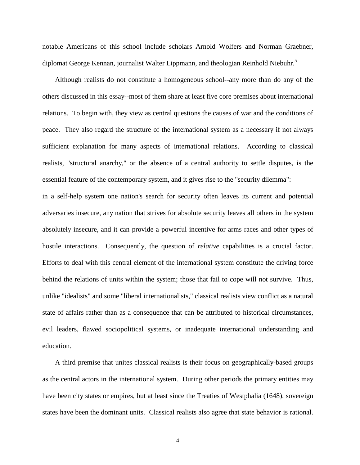notable Americans of this school include scholars Arnold Wolfers and Norman Graebner, diplomat George Kennan, journalist Walter Lippmann, and theologian Reinhold Niebuhr.<sup>5</sup>

Although realists do not constitute a homogeneous school--any more than do any of the others discussed in this essay--most of them share at least five core premises about international relations. To begin with, they view as central questions the causes of war and the conditions of peace. They also regard the structure of the international system as a necessary if not always sufficient explanation for many aspects of international relations. According to classical realists, "structural anarchy," or the absence of a central authority to settle disputes, is the essential feature of the contemporary system, and it gives rise to the "security dilemma": in a self-help system one nation's search for security often leaves its current and potential adversaries insecure, any nation that strives for absolute security leaves all others in the system absolutely insecure, and it can provide a powerful incentive for arms races and other types of hostile interactions. Consequently, the question of *relative* capabilities is a crucial factor. Efforts to deal with this central element of the international system constitute the driving force behind the relations of units within the system; those that fail to cope will not survive. Thus, unlike "idealists" and some "liberal internationalists," classical realists view conflict as a natural state of affairs rather than as a consequence that can be attributed to historical circumstances, evil leaders, flawed sociopolitical systems, or inadequate international understanding and education.

A third premise that unites classical realists is their focus on geographically-based groups as the central actors in the international system. During other periods the primary entities may have been city states or empires, but at least since the Treaties of Westphalia (1648), sovereign states have been the dominant units. Classical realists also agree that state behavior is rational.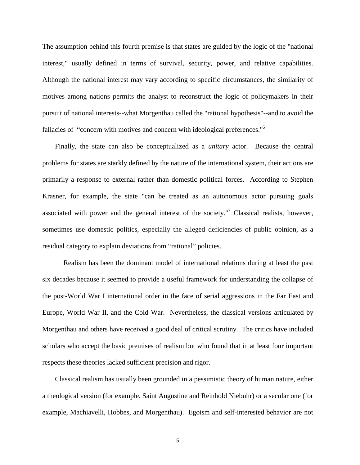The assumption behind this fourth premise is that states are guided by the logic of the "national interest," usually defined in terms of survival, security, power, and relative capabilities. Although the national interest may vary according to specific circumstances, the similarity of motives among nations permits the analyst to reconstruct the logic of policymakers in their pursuit of national interests--what Morgenthau called the "rational hypothesis"--and to avoid the fallacies of "concern with motives and concern with ideological preferences."6

Finally, the state can also be conceptualized as a *unitary* actor. Because the central problems for states are starkly defined by the nature of the international system, their actions are primarily a response to external rather than domestic political forces. According to Stephen Krasner, for example, the state "can be treated as an autonomous actor pursuing goals associated with power and the general interest of the society."<sup>7</sup> Classical realists, however, sometimes use domestic politics, especially the alleged deficiencies of public opinion, as a residual category to explain deviations from "rational" policies.

Realism has been the dominant model of international relations during at least the past six decades because it seemed to provide a useful framework for understanding the collapse of the post-World War I international order in the face of serial aggressions in the Far East and Europe, World War II, and the Cold War. Nevertheless, the classical versions articulated by Morgenthau and others have received a good deal of critical scrutiny. The critics have included scholars who accept the basic premises of realism but who found that in at least four important respects these theories lacked sufficient precision and rigor.

Classical realism has usually been grounded in a pessimistic theory of human nature, either a theological version (for example, Saint Augustine and Reinhold Niebuhr) or a secular one (for example, Machiavelli, Hobbes, and Morgenthau). Egoism and self-interested behavior are not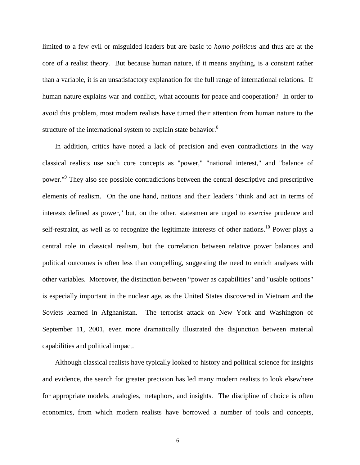limited to a few evil or misguided leaders but are basic to *homo politicus* and thus are at the core of a realist theory. But because human nature, if it means anything, is a constant rather than a variable, it is an unsatisfactory explanation for the full range of international relations. If human nature explains war and conflict, what accounts for peace and cooperation? In order to avoid this problem, most modern realists have turned their attention from human nature to the structure of the international system to explain state behavior. $8<sup>8</sup>$ 

In addition, critics have noted a lack of precision and even contradictions in the way classical realists use such core concepts as "power," "national interest," and "balance of power."<sup>9</sup> They also see possible contradictions between the central descriptive and prescriptive elements of realism. On the one hand, nations and their leaders "think and act in terms of interests defined as power," but, on the other, statesmen are urged to exercise prudence and self-restraint, as well as to recognize the legitimate interests of other nations.<sup>10</sup> Power plays a central role in classical realism, but the correlation between relative power balances and political outcomes is often less than compelling, suggesting the need to enrich analyses with other variables. Moreover, the distinction between "power as capabilities" and "usable options" is especially important in the nuclear age, as the United States discovered in Vietnam and the Soviets learned in Afghanistan. The terrorist attack on New York and Washington of September 11, 2001, even more dramatically illustrated the disjunction between material capabilities and political impact.

Although classical realists have typically looked to history and political science for insights and evidence, the search for greater precision has led many modern realists to look elsewhere for appropriate models, analogies, metaphors, and insights. The discipline of choice is often economics, from which modern realists have borrowed a number of tools and concepts,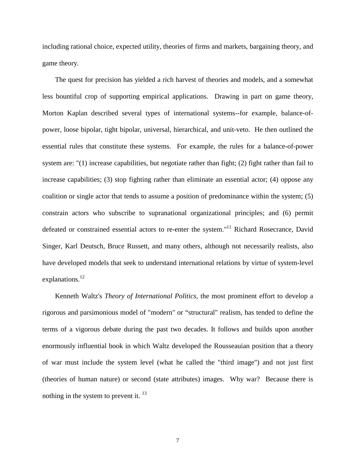including rational choice, expected utility, theories of firms and markets, bargaining theory, and game theory.

The quest for precision has yielded a rich harvest of theories and models, and a somewhat less bountiful crop of supporting empirical applications. Drawing in part on game theory, Morton Kaplan described several types of international systems--for example, balance-ofpower, loose bipolar, tight bipolar, universal, hierarchical, and unit-veto. He then outlined the essential rules that constitute these systems. For example, the rules for a balance-of-power system are: "(1) increase capabilities, but negotiate rather than fight; (2) fight rather than fail to increase capabilities; (3) stop fighting rather than eliminate an essential actor; (4) oppose any coalition or single actor that tends to assume a position of predominance within the system; (5) constrain actors who subscribe to supranational organizational principles; and (6) permit defeated or constrained essential actors to re-enter the system."<sup>11</sup> Richard Rosecrance, David Singer, Karl Deutsch, Bruce Russett, and many others, although not necessarily realists, also have developed models that seek to understand international relations by virtue of system-level explanations.<sup>12</sup>

Kenneth Waltz's *Theory of International Politics,* the most prominent effort to develop a rigorous and parsimonious model of "modern" or "structural" realism, has tended to define the terms of a vigorous debate during the past two decades. It follows and builds upon another enormously influential book in which Waltz developed the Rousseauian position that a theory of war must include the system level (what he called the "third image") and not just first (theories of human nature) or second (state attributes) images. Why war? Because there is nothing in the system to prevent it.  $13$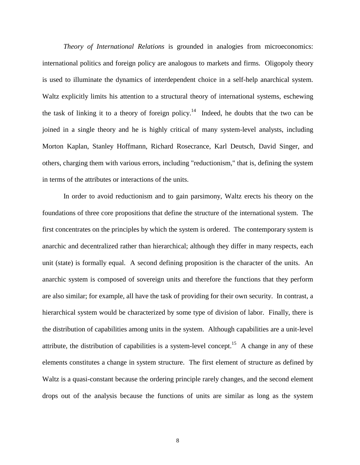*Theory of International Relations* is grounded in analogies from microeconomics: international politics and foreign policy are analogous to markets and firms. Oligopoly theory is used to illuminate the dynamics of interdependent choice in a self-help anarchical system. Waltz explicitly limits his attention to a structural theory of international systems, eschewing the task of linking it to a theory of foreign policy.<sup>14</sup> Indeed, he doubts that the two can be joined in a single theory and he is highly critical of many system-level analysts, including Morton Kaplan, Stanley Hoffmann, Richard Rosecrance, Karl Deutsch, David Singer, and others, charging them with various errors, including "reductionism," that is, defining the system in terms of the attributes or interactions of the units.

In order to avoid reductionism and to gain parsimony, Waltz erects his theory on the foundations of three core propositions that define the structure of the international system. The first concentrates on the principles by which the system is ordered. The contemporary system is anarchic and decentralized rather than hierarchical; although they differ in many respects, each unit (state) is formally equal. A second defining proposition is the character of the units. An anarchic system is composed of sovereign units and therefore the functions that they perform are also similar; for example, all have the task of providing for their own security. In contrast, a hierarchical system would be characterized by some type of division of labor. Finally, there is the distribution of capabilities among units in the system. Although capabilities are a unit-level attribute, the distribution of capabilities is a system-level concept.<sup>15</sup> A change in any of these elements constitutes a change in system structure. The first element of structure as defined by Waltz is a quasi-constant because the ordering principle rarely changes, and the second element drops out of the analysis because the functions of units are similar as long as the system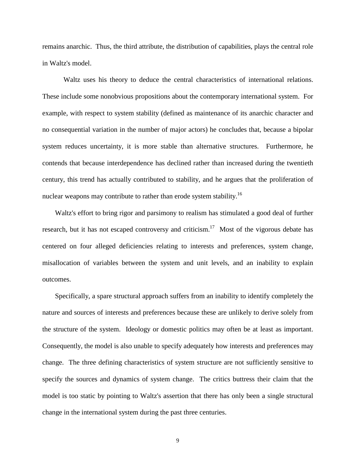remains anarchic. Thus, the third attribute, the distribution of capabilities, plays the central role in Waltz's model.

Waltz uses his theory to deduce the central characteristics of international relations. These include some nonobvious propositions about the contemporary international system. For example, with respect to system stability (defined as maintenance of its anarchic character and no consequential variation in the number of major actors) he concludes that, because a bipolar system reduces uncertainty, it is more stable than alternative structures. Furthermore, he contends that because interdependence has declined rather than increased during the twentieth century, this trend has actually contributed to stability, and he argues that the proliferation of nuclear weapons may contribute to rather than erode system stability.<sup>16</sup>

Waltz's effort to bring rigor and parsimony to realism has stimulated a good deal of further research, but it has not escaped controversy and criticism.<sup>17</sup> Most of the vigorous debate has centered on four alleged deficiencies relating to interests and preferences, system change, misallocation of variables between the system and unit levels, and an inability to explain outcomes.

Specifically, a spare structural approach suffers from an inability to identify completely the nature and sources of interests and preferences because these are unlikely to derive solely from the structure of the system. Ideology or domestic politics may often be at least as important. Consequently, the model is also unable to specify adequately how interests and preferences may change. The three defining characteristics of system structure are not sufficiently sensitive to specify the sources and dynamics of system change. The critics buttress their claim that the model is too static by pointing to Waltz's assertion that there has only been a single structural change in the international system during the past three centuries.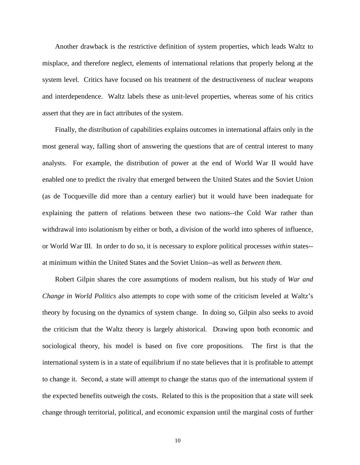Another drawback is the restrictive definition of system properties, which leads Waltz to misplace, and therefore neglect, elements of international relations that properly belong at the system level. Critics have focused on his treatment of the destructiveness of nuclear weapons and interdependence. Waltz labels these as unit-level properties, whereas some of his critics assert that they are in fact attributes of the system.

Finally, the distribution of capabilities explains outcomes in international affairs only in the most general way, falling short of answering the questions that are of central interest to many analysts. For example, the distribution of power at the end of World War II would have enabled one to predict the rivalry that emerged between the United States and the Soviet Union (as de Tocqueville did more than a century earlier) but it would have been inadequate for explaining the pattern of relations between these two nations--the Cold War rather than withdrawal into isolationism by either or both, a division of the world into spheres of influence, or World War III. In order to do so, it is necessary to explore political processes *within* states- at minimum within the United States and the Soviet Union--as well as *between them.*

Robert Gilpin shares the core assumptions of modern realism, but his study of *War and Change in World Politics* also attempts to cope with some of the criticism leveled at Waltz's theory by focusing on the dynamics of system change. In doing so, Gilpin also seeks to avoid the criticism that the Waltz theory is largely ahistorical. Drawing upon both economic and sociological theory, his model is based on five core propositions. The first is that the international system is in a state of equilibrium if no state believes that it is profitable to attempt to change it. Second, a state will attempt to change the status quo of the international system if the expected benefits outweigh the costs. Related to this is the proposition that a state will seek change through territorial, political, and economic expansion until the marginal costs of further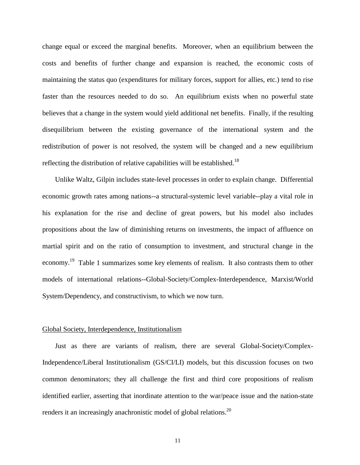change equal or exceed the marginal benefits. Moreover, when an equilibrium between the costs and benefits of further change and expansion is reached, the economic costs of maintaining the status quo (expenditures for military forces, support for allies, etc.) tend to rise faster than the resources needed to do so. An equilibrium exists when no powerful state believes that a change in the system would yield additional net benefits. Finally, if the resulting disequilibrium between the existing governance of the international system and the redistribution of power is not resolved, the system will be changed and a new equilibrium reflecting the distribution of relative capabilities will be established.<sup>18</sup>

Unlike Waltz, Gilpin includes state-level processes in order to explain change. Differential economic growth rates among nations--a structural-systemic level variable--play a vital role in his explanation for the rise and decline of great powers, but his model also includes propositions about the law of diminishing returns on investments, the impact of affluence on martial spirit and on the ratio of consumption to investment, and structural change in the economy.<sup>19</sup> Table 1 summarizes some key elements of realism. It also contrasts them to other models of international relations--Global-Society/Complex-Interdependence, Marxist/World System/Dependency, and constructivism, to which we now turn.

# Global Society, Interdependence, Institutionalism

Just as there are variants of realism, there are several Global-Society/Complex-Independence/Liberal Institutionalism (GS/CI/LI) models, but this discussion focuses on two common denominators; they all challenge the first and third core propositions of realism identified earlier, asserting that inordinate attention to the war/peace issue and the nation-state renders it an increasingly anachronistic model of global relations.<sup>20</sup>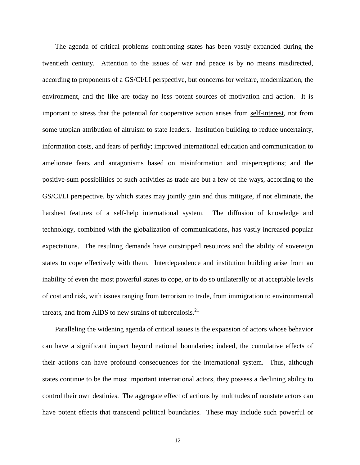The agenda of critical problems confronting states has been vastly expanded during the twentieth century. Attention to the issues of war and peace is by no means misdirected, according to proponents of a GS/CI/LI perspective, but concerns for welfare, modernization, the environment, and the like are today no less potent sources of motivation and action. It is important to stress that the potential for cooperative action arises from self-interest, not from some utopian attribution of altruism to state leaders. Institution building to reduce uncertainty, information costs, and fears of perfidy; improved international education and communication to ameliorate fears and antagonisms based on misinformation and misperceptions; and the positive-sum possibilities of such activities as trade are but a few of the ways, according to the GS/CI/LI perspective, by which states may jointly gain and thus mitigate, if not eliminate, the harshest features of a self-help international system. The diffusion of knowledge and technology, combined with the globalization of communications, has vastly increased popular expectations. The resulting demands have outstripped resources and the ability of sovereign states to cope effectively with them. Interdependence and institution building arise from an inability of even the most powerful states to cope, or to do so unilaterally or at acceptable levels of cost and risk, with issues ranging from terrorism to trade, from immigration to environmental threats, and from AIDS to new strains of tuberculosis. $21$ 

Paralleling the widening agenda of critical issues is the expansion of actors whose behavior can have a significant impact beyond national boundaries; indeed, the cumulative effects of their actions can have profound consequences for the international system. Thus, although states continue to be the most important international actors, they possess a declining ability to control their own destinies. The aggregate effect of actions by multitudes of nonstate actors can have potent effects that transcend political boundaries. These may include such powerful or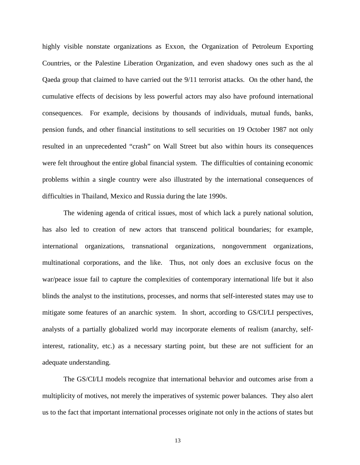highly visible nonstate organizations as Exxon, the Organization of Petroleum Exporting Countries, or the Palestine Liberation Organization, and even shadowy ones such as the al Qaeda group that claimed to have carried out the 9/11 terrorist attacks. On the other hand, the cumulative effects of decisions by less powerful actors may also have profound international consequences. For example, decisions by thousands of individuals, mutual funds, banks, pension funds, and other financial institutions to sell securities on 19 October 1987 not only resulted in an unprecedented "crash" on Wall Street but also within hours its consequences were felt throughout the entire global financial system. The difficulties of containing economic problems within a single country were also illustrated by the international consequences of difficulties in Thailand, Mexico and Russia during the late 1990s.

The widening agenda of critical issues, most of which lack a purely national solution, has also led to creation of new actors that transcend political boundaries; for example, international organizations, transnational organizations, nongovernment organizations, multinational corporations, and the like. Thus, not only does an exclusive focus on the war/peace issue fail to capture the complexities of contemporary international life but it also blinds the analyst to the institutions, processes, and norms that self-interested states may use to mitigate some features of an anarchic system. In short, according to GS/CI/LI perspectives, analysts of a partially globalized world may incorporate elements of realism (anarchy, selfinterest, rationality, etc.) as a necessary starting point, but these are not sufficient for an adequate understanding.

The GS/CI/LI models recognize that international behavior and outcomes arise from a multiplicity of motives, not merely the imperatives of systemic power balances. They also alert us to the fact that important international processes originate not only in the actions of states but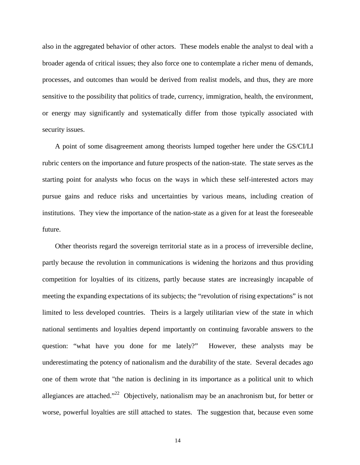also in the aggregated behavior of other actors. These models enable the analyst to deal with a broader agenda of critical issues; they also force one to contemplate a richer menu of demands, processes, and outcomes than would be derived from realist models, and thus, they are more sensitive to the possibility that politics of trade, currency, immigration, health, the environment, or energy may significantly and systematically differ from those typically associated with security issues.

A point of some disagreement among theorists lumped together here under the GS/CI/LI rubric centers on the importance and future prospects of the nation-state. The state serves as the starting point for analysts who focus on the ways in which these self-interested actors may pursue gains and reduce risks and uncertainties by various means, including creation of institutions. They view the importance of the nation-state as a given for at least the foreseeable future.

Other theorists regard the sovereign territorial state as in a process of irreversible decline, partly because the revolution in communications is widening the horizons and thus providing competition for loyalties of its citizens, partly because states are increasingly incapable of meeting the expanding expectations of its subjects; the "revolution of rising expectations" is not limited to less developed countries. Theirs is a largely utilitarian view of the state in which national sentiments and loyalties depend importantly on continuing favorable answers to the question: "what have you done for me lately?" However, these analysts may be underestimating the potency of nationalism and the durability of the state. Several decades ago one of them wrote that "the nation is declining in its importance as a political unit to which allegiances are attached."<sup>22</sup> Objectively, nationalism may be an anachronism but, for better or worse, powerful loyalties are still attached to states. The suggestion that, because even some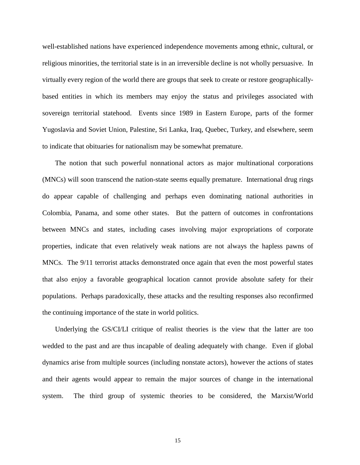well-established nations have experienced independence movements among ethnic, cultural, or religious minorities, the territorial state is in an irreversible decline is not wholly persuasive. In virtually every region of the world there are groups that seek to create or restore geographicallybased entities in which its members may enjoy the status and privileges associated with sovereign territorial statehood. Events since 1989 in Eastern Europe, parts of the former Yugoslavia and Soviet Union, Palestine, Sri Lanka, Iraq, Quebec, Turkey, and elsewhere, seem to indicate that obituaries for nationalism may be somewhat premature.

The notion that such powerful nonnational actors as major multinational corporations (MNCs) will soon transcend the nation-state seems equally premature. International drug rings do appear capable of challenging and perhaps even dominating national authorities in Colombia, Panama, and some other states. But the pattern of outcomes in confrontations between MNCs and states, including cases involving major expropriations of corporate properties, indicate that even relatively weak nations are not always the hapless pawns of MNCs. The 9/11 terrorist attacks demonstrated once again that even the most powerful states that also enjoy a favorable geographical location cannot provide absolute safety for their populations. Perhaps paradoxically, these attacks and the resulting responses also reconfirmed the continuing importance of the state in world politics.

Underlying the GS/CI/LI critique of realist theories is the view that the latter are too wedded to the past and are thus incapable of dealing adequately with change. Even if global dynamics arise from multiple sources (including nonstate actors), however the actions of states and their agents would appear to remain the major sources of change in the international system. The third group of systemic theories to be considered, the Marxist/World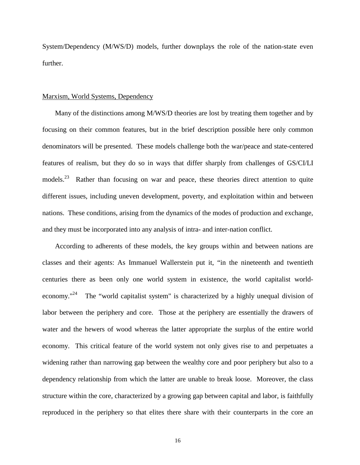System/Dependency (M/WS/D) models, further downplays the role of the nation-state even further.

#### Marxism, World Systems, Dependency

Many of the distinctions among M/WS/D theories are lost by treating them together and by focusing on their common features, but in the brief description possible here only common denominators will be presented. These models challenge both the war/peace and state-centered features of realism, but they do so in ways that differ sharply from challenges of GS/CI/LI models.<sup>23</sup> Rather than focusing on war and peace, these theories direct attention to quite different issues, including uneven development, poverty, and exploitation within and between nations. These conditions, arising from the dynamics of the modes of production and exchange, and they must be incorporated into any analysis of intra- and inter-nation conflict.

According to adherents of these models, the key groups within and between nations are classes and their agents: As Immanuel Wallerstein put it, "in the nineteenth and twentieth centuries there as been only one world system in existence, the world capitalist worldeconomy."<sup>24</sup> The "world capitalist system" is characterized by a highly unequal division of labor between the periphery and core. Those at the periphery are essentially the drawers of water and the hewers of wood whereas the latter appropriate the surplus of the entire world economy. This critical feature of the world system not only gives rise to and perpetuates a widening rather than narrowing gap between the wealthy core and poor periphery but also to a dependency relationship from which the latter are unable to break loose. Moreover, the class structure within the core, characterized by a growing gap between capital and labor, is faithfully reproduced in the periphery so that elites there share with their counterparts in the core an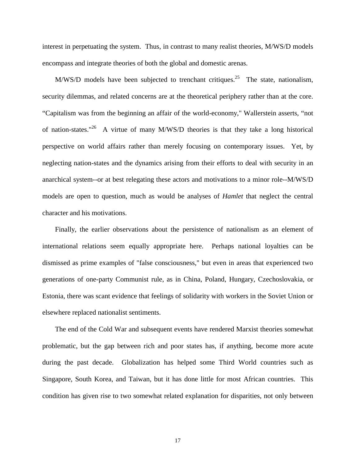interest in perpetuating the system. Thus, in contrast to many realist theories, M/WS/D models encompass and integrate theories of both the global and domestic arenas.

M/WS/D models have been subjected to trenchant critiques.<sup>25</sup> The state, nationalism, security dilemmas, and related concerns are at the theoretical periphery rather than at the core. "Capitalism was from the beginning an affair of the world-economy," Wallerstein asserts, "not of nation-states."<sup>26</sup> A virtue of many M/WS/D theories is that they take a long historical perspective on world affairs rather than merely focusing on contemporary issues. Yet, by neglecting nation-states and the dynamics arising from their efforts to deal with security in an anarchical system--or at best relegating these actors and motivations to a minor role--M/WS/D models are open to question, much as would be analyses of *Hamlet* that neglect the central character and his motivations.

Finally, the earlier observations about the persistence of nationalism as an element of international relations seem equally appropriate here. Perhaps national loyalties can be dismissed as prime examples of "false consciousness," but even in areas that experienced two generations of one-party Communist rule, as in China, Poland, Hungary, Czechoslovakia, or Estonia, there was scant evidence that feelings of solidarity with workers in the Soviet Union or elsewhere replaced nationalist sentiments.

The end of the Cold War and subsequent events have rendered Marxist theories somewhat problematic, but the gap between rich and poor states has, if anything, become more acute during the past decade. Globalization has helped some Third World countries such as Singapore, South Korea, and Taiwan, but it has done little for most African countries. This condition has given rise to two somewhat related explanation for disparities, not only between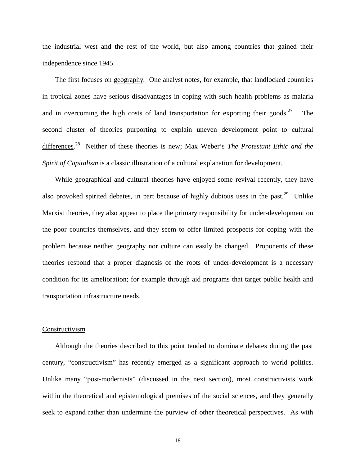the industrial west and the rest of the world, but also among countries that gained their independence since 1945.

The first focuses on geography. One analyst notes, for example, that landlocked countries in tropical zones have serious disadvantages in coping with such health problems as malaria and in overcoming the high costs of land transportation for exporting their goods.<sup>27</sup> The second cluster of theories purporting to explain uneven development point to cultural differences.28 Neither of these theories is new; Max Weber's *The Protestant Ethic and the Spirit of Capitalism* is a classic illustration of a cultural explanation for development.

While geographical and cultural theories have enjoyed some revival recently, they have also provoked spirited debates, in part because of highly dubious uses in the past.<sup>29</sup> Unlike Marxist theories, they also appear to place the primary responsibility for under-development on the poor countries themselves, and they seem to offer limited prospects for coping with the problem because neither geography nor culture can easily be changed. Proponents of these theories respond that a proper diagnosis of the roots of under-development is a necessary condition for its amelioration; for example through aid programs that target public health and transportation infrastructure needs.

# **Constructivism**

Although the theories described to this point tended to dominate debates during the past century, "constructivism" has recently emerged as a significant approach to world politics. Unlike many "post-modernists" (discussed in the next section), most constructivists work within the theoretical and epistemological premises of the social sciences, and they generally seek to expand rather than undermine the purview of other theoretical perspectives. As with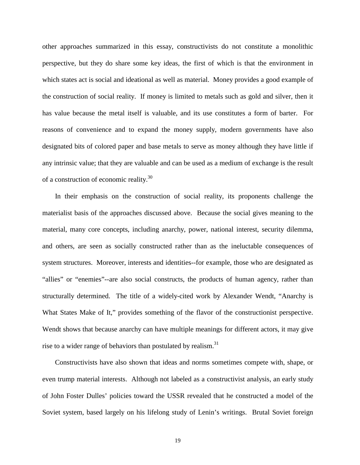other approaches summarized in this essay, constructivists do not constitute a monolithic perspective, but they do share some key ideas, the first of which is that the environment in which states act is social and ideational as well as material. Money provides a good example of the construction of social reality. If money is limited to metals such as gold and silver, then it has value because the metal itself is valuable, and its use constitutes a form of barter. For reasons of convenience and to expand the money supply, modern governments have also designated bits of colored paper and base metals to serve as money although they have little if any intrinsic value; that they are valuable and can be used as a medium of exchange is the result of a construction of economic reality.30

In their emphasis on the construction of social reality, its proponents challenge the materialist basis of the approaches discussed above. Because the social gives meaning to the material, many core concepts, including anarchy, power, national interest, security dilemma, and others, are seen as socially constructed rather than as the ineluctable consequences of system structures. Moreover, interests and identities--for example, those who are designated as "allies" or "enemies"--are also social constructs, the products of human agency, rather than structurally determined. The title of a widely-cited work by Alexander Wendt, "Anarchy is What States Make of It," provides something of the flavor of the constructionist perspective. Wendt shows that because anarchy can have multiple meanings for different actors, it may give rise to a wider range of behaviors than postulated by realism.<sup>31</sup>

Constructivists have also shown that ideas and norms sometimes compete with, shape, or even trump material interests. Although not labeled as a constructivist analysis, an early study of John Foster Dulles' policies toward the USSR revealed that he constructed a model of the Soviet system, based largely on his lifelong study of Lenin's writings. Brutal Soviet foreign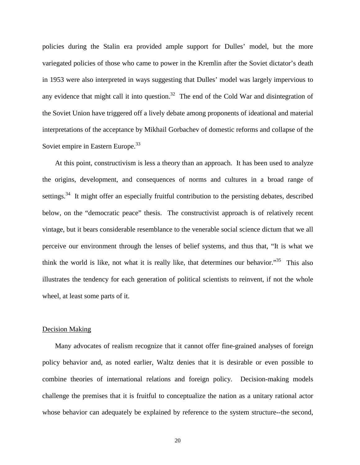policies during the Stalin era provided ample support for Dulles' model, but the more variegated policies of those who came to power in the Kremlin after the Soviet dictator's death in 1953 were also interpreted in ways suggesting that Dulles' model was largely impervious to any evidence that might call it into question.<sup>32</sup> The end of the Cold War and disintegration of the Soviet Union have triggered off a lively debate among proponents of ideational and material interpretations of the acceptance by Mikhail Gorbachev of domestic reforms and collapse of the Soviet empire in Eastern Europe.<sup>33</sup>

At this point, constructivism is less a theory than an approach. It has been used to analyze the origins, development, and consequences of norms and cultures in a broad range of settings.<sup>34</sup> It might offer an especially fruitful contribution to the persisting debates, described below, on the "democratic peace" thesis. The constructivist approach is of relatively recent vintage, but it bears considerable resemblance to the venerable social science dictum that we all perceive our environment through the lenses of belief systems, and thus that, "It is what we think the world is like, not what it is really like, that determines our behavior. $35$  This also illustrates the tendency for each generation of political scientists to reinvent, if not the whole wheel, at least some parts of it.

# Decision Making

Many advocates of realism recognize that it cannot offer fine-grained analyses of foreign policy behavior and, as noted earlier, Waltz denies that it is desirable or even possible to combine theories of international relations and foreign policy. Decision-making models challenge the premises that it is fruitful to conceptualize the nation as a unitary rational actor whose behavior can adequately be explained by reference to the system structure--the second,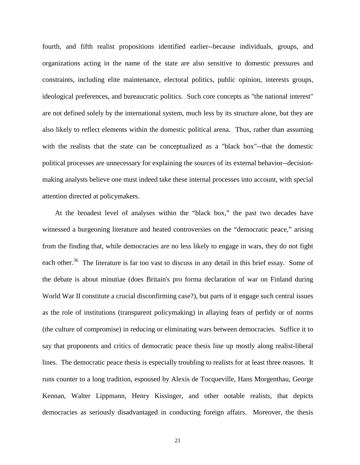fourth, and fifth realist propositions identified earlier--because individuals, groups, and organizations acting in the name of the state are also sensitive to domestic pressures and constraints, including elite maintenance, electoral politics, public opinion, interests groups, ideological preferences, and bureaucratic politics. Such core concepts as "the national interest" are not defined solely by the international system, much less by its structure alone, but they are also likely to reflect elements within the domestic political arena. Thus, rather than assuming with the realists that the state can be conceptualized as a "black box"--that the domestic political processes are unnecessary for explaining the sources of its external behavior--decisionmaking analysts believe one must indeed take these internal processes into account, with special attention directed at policymakers.

At the broadest level of analyses within the "black box," the past two decades have witnessed a burgeoning literature and heated controversies on the "democratic peace," arising from the finding that, while democracies are no less likely to engage in wars, they do not fight each other.<sup>36</sup> The literature is far too vast to discuss in any detail in this brief essay. Some of the debate is about minutiae (does Britain's pro forma declaration of war on Finland during World War II constitute a crucial disconfirming case?), but parts of it engage such central issues as the role of institutions (transparent policymaking) in allaying fears of perfidy or of norms (the culture of compromise) in reducing or eliminating wars between democracies. Suffice it to say that proponents and critics of democratic peace thesis line up mostly along realist-liberal lines. The democratic peace thesis is especially troubling to realists for at least three reasons. It runs counter to a long tradition, espoused by Alexis de Tocqueville, Hans Morgenthau, George Kennan, Walter Lippmann, Henry Kissinger, and other notable realists, that depicts democracies as seriously disadvantaged in conducting foreign affairs. Moreover, the thesis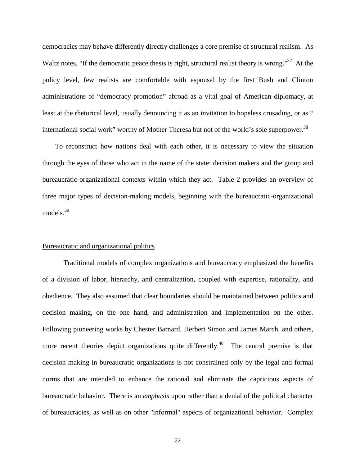democracies may behave differently directly challenges a core premise of structural realism. As Waltz notes, "If the democratic peace thesis is right, structural realist theory is wrong."<sup>37</sup> At the policy level, few realists are comfortable with espousal by the first Bush and Clinton administrations of "democracy promotion" abroad as a vital goal of American diplomacy, at least at the rhetorical level, usually denouncing it as an invitation to hopeless crusading, or as " international social work" worthy of Mother Theresa but not of the world's sole superpower.<sup>38</sup>

To reconstruct how nations deal with each other, it is necessary to view the situation through the eyes of those who act in the name of the state: decision makers and the group and bureaucratic-organizational contexts within which they act. Table 2 provides an overview of three major types of decision-making models, beginning with the bureaucratic-organizational models.<sup>39</sup>

#### Bureaucratic and organizational politics

Traditional models of complex organizations and bureaucracy emphasized the benefits of a division of labor, hierarchy, and centralization, coupled with expertise, rationality, and obedience. They also assumed that clear boundaries should be maintained between politics and decision making, on the one hand, and administration and implementation on the other. Following pioneering works by Chester Barnard, Herbert Simon and James March, and others, more recent theories depict organizations quite differently.<sup>40</sup> The central premise is that decision making in bureaucratic organizations is not constrained only by the legal and formal norms that are intended to enhance the rational and eliminate the capricious aspects of bureaucratic behavior. There is an *emphasis* upon rather than a denial of the political character of bureaucracies, as well as on other "informal" aspects of organizational behavior. Complex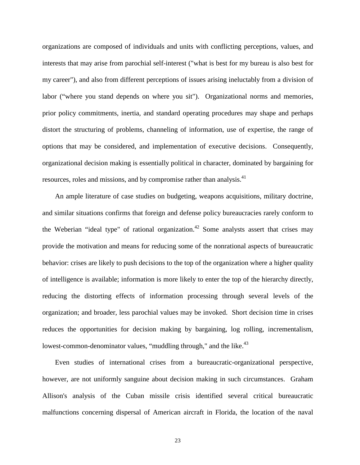organizations are composed of individuals and units with conflicting perceptions, values, and interests that may arise from parochial self-interest ("what is best for my bureau is also best for my career"), and also from different perceptions of issues arising ineluctably from a division of labor ("where you stand depends on where you sit"). Organizational norms and memories, prior policy commitments, inertia, and standard operating procedures may shape and perhaps distort the structuring of problems, channeling of information, use of expertise, the range of options that may be considered, and implementation of executive decisions. Consequently, organizational decision making is essentially political in character, dominated by bargaining for resources, roles and missions, and by compromise rather than analysis.41

An ample literature of case studies on budgeting, weapons acquisitions, military doctrine, and similar situations confirms that foreign and defense policy bureaucracies rarely conform to the Weberian "ideal type" of rational organization.<sup>42</sup> Some analysts assert that crises may provide the motivation and means for reducing some of the nonrational aspects of bureaucratic behavior: crises are likely to push decisions to the top of the organization where a higher quality of intelligence is available; information is more likely to enter the top of the hierarchy directly, reducing the distorting effects of information processing through several levels of the organization; and broader, less parochial values may be invoked. Short decision time in crises reduces the opportunities for decision making by bargaining, log rolling, incrementalism, lowest-common-denominator values, "muddling through," and the like.<sup>43</sup>

Even studies of international crises from a bureaucratic-organizational perspective, however, are not uniformly sanguine about decision making in such circumstances. Graham Allison's analysis of the Cuban missile crisis identified several critical bureaucratic malfunctions concerning dispersal of American aircraft in Florida, the location of the naval

23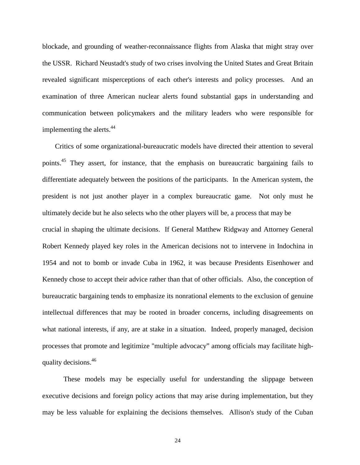blockade, and grounding of weather-reconnaissance flights from Alaska that might stray over the USSR. Richard Neustadt's study of two crises involving the United States and Great Britain revealed significant misperceptions of each other's interests and policy processes. And an examination of three American nuclear alerts found substantial gaps in understanding and communication between policymakers and the military leaders who were responsible for implementing the alerts. $44$ 

Critics of some organizational-bureaucratic models have directed their attention to several points.<sup>45</sup> They assert, for instance, that the emphasis on bureaucratic bargaining fails to differentiate adequately between the positions of the participants. In the American system, the president is not just another player in a complex bureaucratic game. Not only must he ultimately decide but he also selects who the other players will be, a process that may be crucial in shaping the ultimate decisions. If General Matthew Ridgway and Attorney General Robert Kennedy played key roles in the American decisions not to intervene in Indochina in 1954 and not to bomb or invade Cuba in 1962, it was because Presidents Eisenhower and Kennedy chose to accept their advice rather than that of other officials. Also, the conception of bureaucratic bargaining tends to emphasize its nonrational elements to the exclusion of genuine intellectual differences that may be rooted in broader concerns, including disagreements on what national interests, if any, are at stake in a situation. Indeed, properly managed, decision processes that promote and legitimize "multiple advocacy" among officials may facilitate highquality decisions.46

These models may be especially useful for understanding the slippage between executive decisions and foreign policy actions that may arise during implementation, but they may be less valuable for explaining the decisions themselves. Allison's study of the Cuban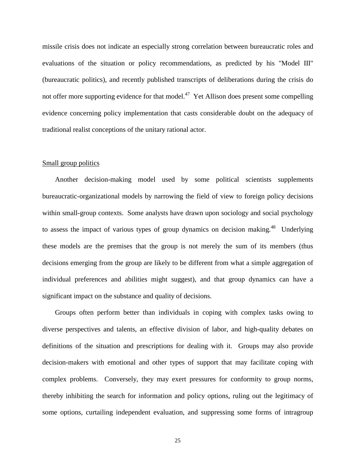missile crisis does not indicate an especially strong correlation between bureaucratic roles and evaluations of the situation or policy recommendations, as predicted by his "Model III" (bureaucratic politics), and recently published transcripts of deliberations during the crisis do not offer more supporting evidence for that model.<sup>47</sup> Yet Allison does present some compelling evidence concerning policy implementation that casts considerable doubt on the adequacy of traditional realist conceptions of the unitary rational actor.

# Small group politics

Another decision-making model used by some political scientists supplements bureaucratic-organizational models by narrowing the field of view to foreign policy decisions within small-group contexts. Some analysts have drawn upon sociology and social psychology to assess the impact of various types of group dynamics on decision making.<sup>48</sup> Underlying these models are the premises that the group is not merely the sum of its members (thus decisions emerging from the group are likely to be different from what a simple aggregation of individual preferences and abilities might suggest), and that group dynamics can have a significant impact on the substance and quality of decisions.

Groups often perform better than individuals in coping with complex tasks owing to diverse perspectives and talents, an effective division of labor, and high-quality debates on definitions of the situation and prescriptions for dealing with it. Groups may also provide decision-makers with emotional and other types of support that may facilitate coping with complex problems. Conversely, they may exert pressures for conformity to group norms, thereby inhibiting the search for information and policy options, ruling out the legitimacy of some options, curtailing independent evaluation, and suppressing some forms of intragroup

25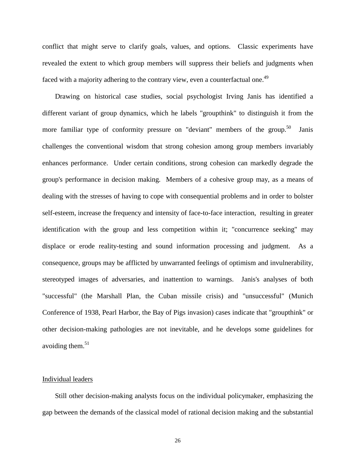conflict that might serve to clarify goals, values, and options. Classic experiments have revealed the extent to which group members will suppress their beliefs and judgments when faced with a majority adhering to the contrary view, even a counterfactual one.<sup>49</sup>

Drawing on historical case studies, social psychologist Irving Janis has identified a different variant of group dynamics, which he labels "groupthink" to distinguish it from the more familiar type of conformity pressure on "deviant" members of the group.<sup>50</sup> Janis challenges the conventional wisdom that strong cohesion among group members invariably enhances performance. Under certain conditions, strong cohesion can markedly degrade the group's performance in decision making. Members of a cohesive group may, as a means of dealing with the stresses of having to cope with consequential problems and in order to bolster self-esteem, increase the frequency and intensity of face-to-face interaction, resulting in greater identification with the group and less competition within it; "concurrence seeking" may displace or erode reality-testing and sound information processing and judgment. As a consequence, groups may be afflicted by unwarranted feelings of optimism and invulnerability, stereotyped images of adversaries, and inattention to warnings. Janis's analyses of both "successful" (the Marshall Plan, the Cuban missile crisis) and "unsuccessful" (Munich Conference of 1938, Pearl Harbor, the Bay of Pigs invasion) cases indicate that "groupthink" or other decision-making pathologies are not inevitable, and he develops some guidelines for avoiding them. $51$ 

# Individual leaders

Still other decision-making analysts focus on the individual policymaker, emphasizing the gap between the demands of the classical model of rational decision making and the substantial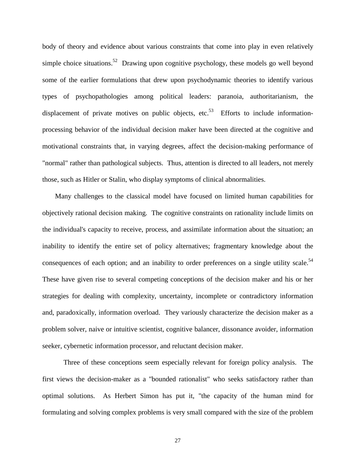body of theory and evidence about various constraints that come into play in even relatively simple choice situations.<sup>52</sup> Drawing upon cognitive psychology, these models go well beyond some of the earlier formulations that drew upon psychodynamic theories to identify various types of psychopathologies among political leaders: paranoia, authoritarianism, the displacement of private motives on public objects, etc.<sup>53</sup> Efforts to include informationprocessing behavior of the individual decision maker have been directed at the cognitive and motivational constraints that, in varying degrees, affect the decision-making performance of "normal" rather than pathological subjects. Thus, attention is directed to all leaders, not merely those, such as Hitler or Stalin, who display symptoms of clinical abnormalities.

Many challenges to the classical model have focused on limited human capabilities for objectively rational decision making. The cognitive constraints on rationality include limits on the individual's capacity to receive, process, and assimilate information about the situation; an inability to identify the entire set of policy alternatives; fragmentary knowledge about the consequences of each option; and an inability to order preferences on a single utility scale.<sup>54</sup> These have given rise to several competing conceptions of the decision maker and his or her strategies for dealing with complexity, uncertainty, incomplete or contradictory information and, paradoxically, information overload. They variously characterize the decision maker as a problem solver, naive or intuitive scientist, cognitive balancer, dissonance avoider, information seeker, cybernetic information processor, and reluctant decision maker.

Three of these conceptions seem especially relevant for foreign policy analysis. The first views the decision-maker as a "bounded rationalist" who seeks satisfactory rather than optimal solutions. As Herbert Simon has put it, "the capacity of the human mind for formulating and solving complex problems is very small compared with the size of the problem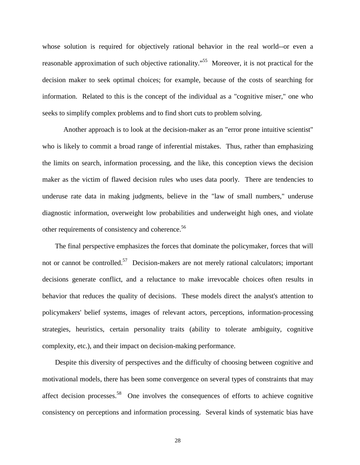whose solution is required for objectively rational behavior in the real world--or even a reasonable approximation of such objective rationality."55 Moreover, it is not practical for the decision maker to seek optimal choices; for example, because of the costs of searching for information. Related to this is the concept of the individual as a "cognitive miser," one who seeks to simplify complex problems and to find short cuts to problem solving.

Another approach is to look at the decision-maker as an "error prone intuitive scientist" who is likely to commit a broad range of inferential mistakes. Thus, rather than emphasizing the limits on search, information processing, and the like, this conception views the decision maker as the victim of flawed decision rules who uses data poorly. There are tendencies to underuse rate data in making judgments, believe in the "law of small numbers," underuse diagnostic information, overweight low probabilities and underweight high ones, and violate other requirements of consistency and coherence.<sup>56</sup>

The final perspective emphasizes the forces that dominate the policymaker, forces that will not or cannot be controlled.<sup>57</sup> Decision-makers are not merely rational calculators; important decisions generate conflict, and a reluctance to make irrevocable choices often results in behavior that reduces the quality of decisions. These models direct the analyst's attention to policymakers' belief systems, images of relevant actors, perceptions, information-processing strategies, heuristics, certain personality traits (ability to tolerate ambiguity, cognitive complexity, etc.), and their impact on decision-making performance.

Despite this diversity of perspectives and the difficulty of choosing between cognitive and motivational models, there has been some convergence on several types of constraints that may affect decision processes.<sup>58</sup> One involves the consequences of efforts to achieve cognitive consistency on perceptions and information processing. Several kinds of systematic bias have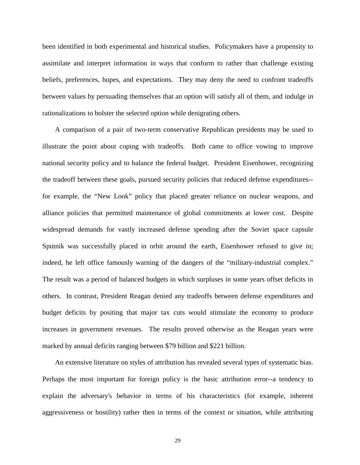been identified in both experimental and historical studies. Policymakers have a propensity to assimilate and interpret information in ways that conform to rather than challenge existing beliefs, preferences, hopes, and expectations. They may deny the need to confront tradeoffs between values by persuading themselves that an option will satisfy all of them, and indulge in rationalizations to bolster the selected option while denigrating others.

A comparison of a pair of two-term conservative Republican presidents may be used to illustrate the point about coping with tradeoffs. Both came to office vowing to improve national security policy and to balance the federal budget. President Eisenhower, recognizing the tradeoff between these goals, pursued security policies that reduced defense expenditures- for example, the "New Look" policy that placed greater reliance on nuclear weapons, and alliance policies that permitted maintenance of global commitments at lower cost. Despite widespread demands for vastly increased defense spending after the Soviet space capsule Sputnik was successfully placed in orbit around the earth, Eisenhower refused to give in; indeed, he left office famously warning of the dangers of the "military-industrial complex." The result was a period of balanced budgets in which surpluses in some years offset deficits in others. In contrast, President Reagan denied any tradeoffs between defense expenditures and budget deficits by positing that major tax cuts would stimulate the economy to produce increases in government revenues. The results proved otherwise as the Reagan years were marked by annual deficits ranging between \$79 billion and \$221 billion.

An extensive literature on styles of attribution has revealed several types of systematic bias. Perhaps the most important for foreign policy is the basic attribution error--a tendency to explain the adversary's behavior in terms of his characteristics (for example, inherent aggressiveness or hostility) rather then in terms of the context or situation, while attributing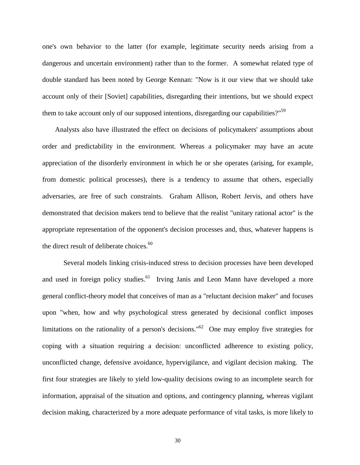one's own behavior to the latter (for example, legitimate security needs arising from a dangerous and uncertain environment) rather than to the former. A somewhat related type of double standard has been noted by George Kennan: "Now is it our view that we should take account only of their [Soviet] capabilities, disregarding their intentions, but we should expect them to take account only of our supposed intentions, disregarding our capabilities?"<sup>59</sup>

Analysts also have illustrated the effect on decisions of policymakers' assumptions about order and predictability in the environment. Whereas a policymaker may have an acute appreciation of the disorderly environment in which he or she operates (arising, for example, from domestic political processes), there is a tendency to assume that others, especially adversaries, are free of such constraints. Graham Allison, Robert Jervis, and others have demonstrated that decision makers tend to believe that the realist "unitary rational actor" is the appropriate representation of the opponent's decision processes and, thus, whatever happens is the direct result of deliberate choices. $60$ 

Several models linking crisis-induced stress to decision processes have been developed and used in foreign policy studies.<sup>61</sup> Irving Janis and Leon Mann have developed a more general conflict-theory model that conceives of man as a "reluctant decision maker" and focuses upon "when, how and why psychological stress generated by decisional conflict imposes limitations on the rationality of a person's decisions."<sup>62</sup> One may employ five strategies for coping with a situation requiring a decision: unconflicted adherence to existing policy, unconflicted change, defensive avoidance, hypervigilance, and vigilant decision making. The first four strategies are likely to yield low-quality decisions owing to an incomplete search for information, appraisal of the situation and options, and contingency planning, whereas vigilant decision making, characterized by a more adequate performance of vital tasks, is more likely to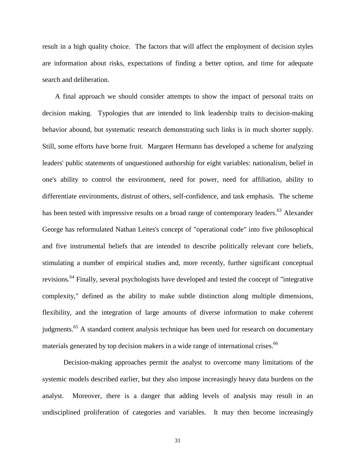result in a high quality choice. The factors that will affect the employment of decision styles are information about risks, expectations of finding a better option, and time for adequate search and deliberation.

A final approach we should consider attempts to show the impact of personal traits on decision making. Typologies that are intended to link leadership traits to decision-making behavior abound, but systematic research demonstrating such links is in much shorter supply. Still, some efforts have borne fruit. Margaret Hermann has developed a scheme for analyzing leaders' public statements of unquestioned authorship for eight variables: nationalism, belief in one's ability to control the environment, need for power, need for affiliation, ability to differentiate environments, distrust of others, self-confidence, and task emphasis. The scheme has been tested with impressive results on a broad range of contemporary leaders.<sup>63</sup> Alexander George has reformulated Nathan Leites's concept of "operational code" into five philosophical and five instrumental beliefs that are intended to describe politically relevant core beliefs, stimulating a number of empirical studies and, more recently, further significant conceptual revisions.64 Finally, several psychologists have developed and tested the concept of "integrative complexity," defined as the ability to make subtle distinction along multiple dimensions, flexibility, and the integration of large amounts of diverse information to make coherent judgments.<sup>65</sup> A standard content analysis technique has been used for research on documentary materials generated by top decision makers in a wide range of international crises.<sup>66</sup>

Decision-making approaches permit the analyst to overcome many limitations of the systemic models described earlier, but they also impose increasingly heavy data burdens on the analyst. Moreover, there is a danger that adding levels of analysis may result in an undisciplined proliferation of categories and variables. It may then become increasingly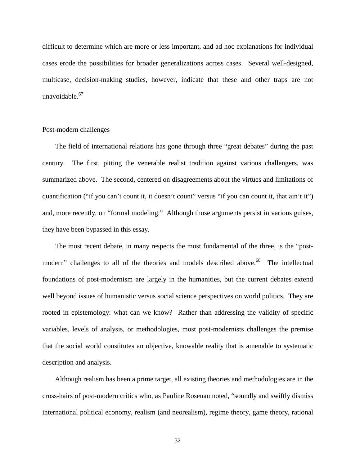difficult to determine which are more or less important, and ad hoc explanations for individual cases erode the possibilities for broader generalizations across cases. Several well-designed, multicase, decision-making studies, however, indicate that these and other traps are not unavoidable. $67$ 

## Post-modern challenges

The field of international relations has gone through three "great debates" during the past century. The first, pitting the venerable realist tradition against various challengers, was summarized above. The second, centered on disagreements about the virtues and limitations of quantification ("if you can't count it, it doesn't count" versus "if you can count it, that ain't it") and, more recently, on "formal modeling." Although those arguments persist in various guises, they have been bypassed in this essay.

The most recent debate, in many respects the most fundamental of the three, is the "postmodern" challenges to all of the theories and models described above.<sup>68</sup> The intellectual foundations of post-modernism are largely in the humanities, but the current debates extend well beyond issues of humanistic versus social science perspectives on world politics. They are rooted in epistemology: what can we know? Rather than addressing the validity of specific variables, levels of analysis, or methodologies, most post-modernists challenges the premise that the social world constitutes an objective, knowable reality that is amenable to systematic description and analysis.

Although realism has been a prime target, all existing theories and methodologies are in the cross-hairs of post-modern critics who, as Pauline Rosenau noted, "soundly and swiftly dismiss international political economy, realism (and neorealism), regime theory, game theory, rational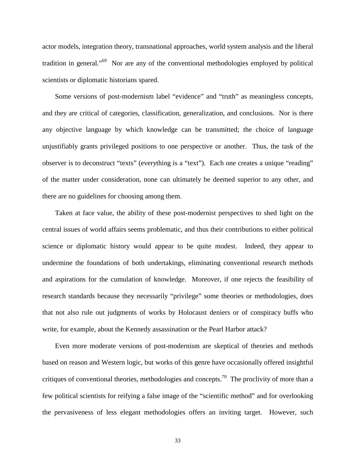actor models, integration theory, transnational approaches, world system analysis and the liberal tradition in general."69 Nor are any of the conventional methodologies employed by political scientists or diplomatic historians spared.

Some versions of post-modernism label "evidence" and "truth" as meaningless concepts, and they are critical of categories, classification, generalization, and conclusions. Nor is there any objective language by which knowledge can be transmitted; the choice of language unjustifiably grants privileged positions to one perspective or another. Thus, the task of the observer is to deconstruct "texts" (everything is a "text"). Each one creates a unique "reading" of the matter under consideration, none can ultimately be deemed superior to any other, and there are no guidelines for choosing among them.

Taken at face value, the ability of these post-modernist perspectives to shed light on the central issues of world affairs seems problematic, and thus their contributions to either political science or diplomatic history would appear to be quite modest. Indeed, they appear to undermine the foundations of both undertakings, eliminating conventional research methods and aspirations for the cumulation of knowledge. Moreover, if one rejects the feasibility of research standards because they necessarily "privilege" some theories or methodologies, does that not also rule out judgments of works by Holocaust deniers or of conspiracy buffs who write, for example, about the Kennedy assassination or the Pearl Harbor attack?

Even more moderate versions of post-modernism are skeptical of theories and methods based on reason and Western logic, but works of this genre have occasionally offered insightful critiques of conventional theories, methodologies and concepts.<sup>70</sup> The proclivity of more than a few political scientists for reifying a false image of the "scientific method" and for overlooking the pervasiveness of less elegant methodologies offers an inviting target. However, such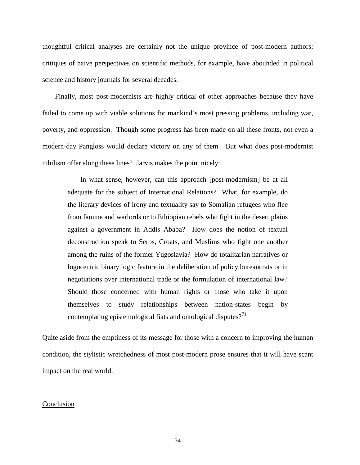thoughtful critical analyses are certainly not the unique province of post-modern authors; critiques of naive perspectives on scientific methods, for example, have abounded in political science and history journals for several decades.

Finally, most post-modernists are highly critical of other approaches because they have failed to come up with viable solutions for mankind's most pressing problems, including war, poverty, and oppression. Though some progress has been made on all these fronts, not even a modern-day Pangloss would declare victory on any of them. But what does post-modernist nihilism offer along these lines? Jarvis makes the point nicely:

In what sense, however, can this approach [post-modernism] be at all adequate for the subject of International Relations? What, for example, do the literary devices of irony and textuality say to Somalian refugees who flee from famine and warlords or to Ethiopian rebels who fight in the desert plains against a government in Addis Ababa? How does the notion of textual deconstruction speak to Serbs, Croats, and Muslims who fight one another among the ruins of the former Yugoslavia? How do totalitarian narratives or logocentric binary logic feature in the deliberation of policy bureaucrats or in negotiations over international trade or the formulation of international law? Should those concerned with human rights or those who take it upon themselves to study relationships between nation-states begin by contemplating epistemological fiats and ontological disputes?<sup>71</sup>

Quite aside from the emptiness of its message for those with a concern to improving the human condition, the stylistic wretchedness of most post-modern prose ensures that it will have scant impact on the real world.

# Conclusion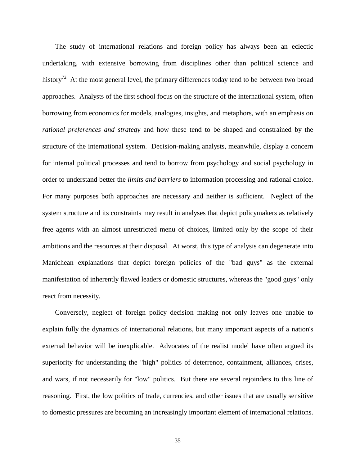The study of international relations and foreign policy has always been an eclectic undertaking, with extensive borrowing from disciplines other than political science and history<sup>72</sup> At the most general level, the primary differences today tend to be between two broad approaches. Analysts of the first school focus on the structure of the international system, often borrowing from economics for models, analogies, insights, and metaphors, with an emphasis on *rational preferences and strategy* and how these tend to be shaped and constrained by the structure of the international system. Decision-making analysts, meanwhile, display a concern for internal political processes and tend to borrow from psychology and social psychology in order to understand better the *limits and barriers* to information processing and rational choice. For many purposes both approaches are necessary and neither is sufficient. Neglect of the system structure and its constraints may result in analyses that depict policymakers as relatively free agents with an almost unrestricted menu of choices, limited only by the scope of their ambitions and the resources at their disposal. At worst, this type of analysis can degenerate into Manichean explanations that depict foreign policies of the "bad guys" as the external manifestation of inherently flawed leaders or domestic structures, whereas the "good guys" only react from necessity.

Conversely, neglect of foreign policy decision making not only leaves one unable to explain fully the dynamics of international relations, but many important aspects of a nation's external behavior will be inexplicable. Advocates of the realist model have often argued its superiority for understanding the "high" politics of deterrence, containment, alliances, crises, and wars, if not necessarily for "low" politics. But there are several rejoinders to this line of reasoning. First, the low politics of trade, currencies, and other issues that are usually sensitive to domestic pressures are becoming an increasingly important element of international relations.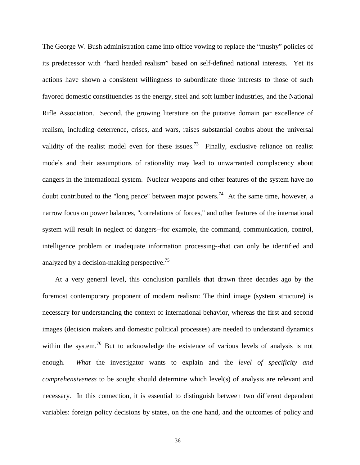The George W. Bush administration came into office vowing to replace the "mushy" policies of its predecessor with "hard headed realism" based on self-defined national interests. Yet its actions have shown a consistent willingness to subordinate those interests to those of such favored domestic constituencies as the energy, steel and soft lumber industries, and the National Rifle Association. Second, the growing literature on the putative domain par excellence of realism, including deterrence, crises, and wars, raises substantial doubts about the universal validity of the realist model even for these issues.<sup>73</sup> Finally, exclusive reliance on realist models and their assumptions of rationality may lead to unwarranted complacency about dangers in the international system. Nuclear weapons and other features of the system have no doubt contributed to the "long peace" between major powers.<sup>74</sup> At the same time, however, a narrow focus on power balances, "correlations of forces," and other features of the international system will result in neglect of dangers--for example, the command, communication, control, intelligence problem or inadequate information processing--that can only be identified and analyzed by a decision-making perspective.<sup>75</sup>

At a very general level, this conclusion parallels that drawn three decades ago by the foremost contemporary proponent of modern realism: The third image (system structure) is necessary for understanding the context of international behavior, whereas the first and second images (decision makers and domestic political processes) are needed to understand dynamics within the system.<sup>76</sup> But to acknowledge the existence of various levels of analysis is not enough. *What* the investigator wants to explain and the *level of specificity and comprehensiveness* to be sought should determine which level(s) of analysis are relevant and necessary. In this connection, it is essential to distinguish between two different dependent variables: foreign policy decisions by states, on the one hand, and the outcomes of policy and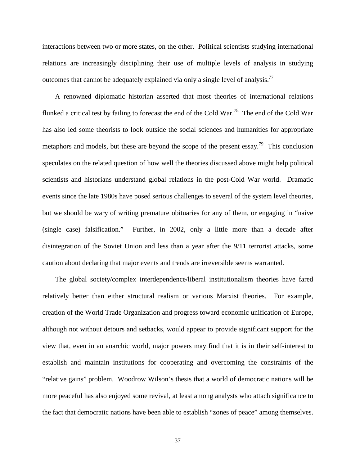interactions between two or more states, on the other. Political scientists studying international relations are increasingly disciplining their use of multiple levels of analysis in studying outcomes that cannot be adequately explained via only a single level of analysis.<sup>77</sup>

A renowned diplomatic historian asserted that most theories of international relations flunked a critical test by failing to forecast the end of the Cold War.<sup>78</sup> The end of the Cold War has also led some theorists to look outside the social sciences and humanities for appropriate metaphors and models, but these are beyond the scope of the present essay.<sup>79</sup> This conclusion speculates on the related question of how well the theories discussed above might help political scientists and historians understand global relations in the post-Cold War world. Dramatic events since the late 1980s have posed serious challenges to several of the system level theories, but we should be wary of writing premature obituaries for any of them, or engaging in "naive (single case) falsification." Further, in 2002, only a little more than a decade after disintegration of the Soviet Union and less than a year after the 9/11 terrorist attacks, some caution about declaring that major events and trends are irreversible seems warranted.

The global society/complex interdependence/liberal institutionalism theories have fared relatively better than either structural realism or various Marxist theories. For example, creation of the World Trade Organization and progress toward economic unification of Europe, although not without detours and setbacks, would appear to provide significant support for the view that, even in an anarchic world, major powers may find that it is in their self-interest to establish and maintain institutions for cooperating and overcoming the constraints of the "relative gains" problem. Woodrow Wilson's thesis that a world of democratic nations will be more peaceful has also enjoyed some revival, at least among analysts who attach significance to the fact that democratic nations have been able to establish "zones of peace" among themselves.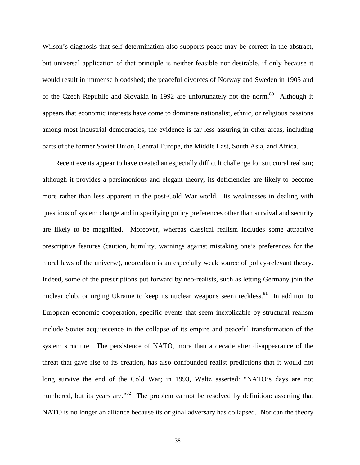Wilson's diagnosis that self-determination also supports peace may be correct in the abstract, but universal application of that principle is neither feasible nor desirable, if only because it would result in immense bloodshed; the peaceful divorces of Norway and Sweden in 1905 and of the Czech Republic and Slovakia in 1992 are unfortunately not the norm.<sup>80</sup> Although it appears that economic interests have come to dominate nationalist, ethnic, or religious passions among most industrial democracies, the evidence is far less assuring in other areas, including parts of the former Soviet Union, Central Europe, the Middle East, South Asia, and Africa.

Recent events appear to have created an especially difficult challenge for structural realism; although it provides a parsimonious and elegant theory, its deficiencies are likely to become more rather than less apparent in the post-Cold War world. Its weaknesses in dealing with questions of system change and in specifying policy preferences other than survival and security are likely to be magnified. Moreover, whereas classical realism includes some attractive prescriptive features (caution, humility, warnings against mistaking one's preferences for the moral laws of the universe), neorealism is an especially weak source of policy-relevant theory. Indeed, some of the prescriptions put forward by neo-realists, such as letting Germany join the nuclear club, or urging Ukraine to keep its nuclear weapons seem reckless. $81$  In addition to European economic cooperation, specific events that seem inexplicable by structural realism include Soviet acquiescence in the collapse of its empire and peaceful transformation of the system structure. The persistence of NATO, more than a decade after disappearance of the threat that gave rise to its creation, has also confounded realist predictions that it would not long survive the end of the Cold War; in 1993, Waltz asserted: "NATO's days are not numbered, but its years are."<sup>82</sup> The problem cannot be resolved by definition: asserting that NATO is no longer an alliance because its original adversary has collapsed. Nor can the theory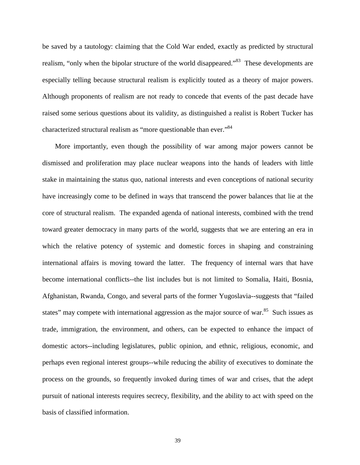be saved by a tautology: claiming that the Cold War ended, exactly as predicted by structural realism, "only when the bipolar structure of the world disappeared."<sup>83</sup> These developments are especially telling because structural realism is explicitly touted as a theory of major powers. Although proponents of realism are not ready to concede that events of the past decade have raised some serious questions about its validity, as distinguished a realist is Robert Tucker has characterized structural realism as "more questionable than ever."<sup>84</sup>

More importantly, even though the possibility of war among major powers cannot be dismissed and proliferation may place nuclear weapons into the hands of leaders with little stake in maintaining the status quo, national interests and even conceptions of national security have increasingly come to be defined in ways that transcend the power balances that lie at the core of structural realism. The expanded agenda of national interests, combined with the trend toward greater democracy in many parts of the world, suggests that we are entering an era in which the relative potency of systemic and domestic forces in shaping and constraining international affairs is moving toward the latter. The frequency of internal wars that have become international conflicts--the list includes but is not limited to Somalia, Haiti, Bosnia, Afghanistan, Rwanda, Congo, and several parts of the former Yugoslavia--suggests that "failed states" may compete with international aggression as the major source of war.<sup>85</sup> Such issues as trade, immigration, the environment, and others, can be expected to enhance the impact of domestic actors--including legislatures, public opinion, and ethnic, religious, economic, and perhaps even regional interest groups--while reducing the ability of executives to dominate the process on the grounds, so frequently invoked during times of war and crises, that the adept pursuit of national interests requires secrecy, flexibility, and the ability to act with speed on the basis of classified information.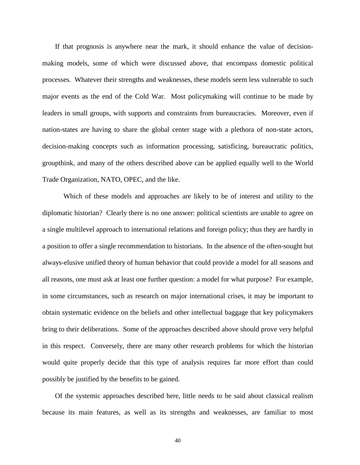If that prognosis is anywhere near the mark, it should enhance the value of decisionmaking models, some of which were discussed above, that encompass domestic political processes. Whatever their strengths and weaknesses, these models seem less vulnerable to such major events as the end of the Cold War. Most policymaking will continue to be made by leaders in small groups, with supports and constraints from bureaucracies. Moreover, even if nation-states are having to share the global center stage with a plethora of non-state actors, decision-making concepts such as information processing, satisficing, bureaucratic politics, groupthink, and many of the others described above can be applied equally well to the World Trade Organization, NATO, OPEC, and the like.

Which of these models and approaches are likely to be of interest and utility to the diplomatic historian? Clearly there is no one answer: political scientists are unable to agree on a single multilevel approach to international relations and foreign policy; thus they are hardly in a position to offer a single recommendation to historians. In the absence of the often-sought but always-elusive unified theory of human behavior that could provide a model for all seasons and all reasons, one must ask at least one further question: a model for what purpose? For example, in some circumstances, such as research on major international crises, it may be important to obtain systematic evidence on the beliefs and other intellectual baggage that key policymakers bring to their deliberations. Some of the approaches described above should prove very helpful in this respect. Conversely, there are many other research problems for which the historian would quite properly decide that this type of analysis requires far more effort than could possibly be justified by the benefits to be gained.

Of the systemic approaches described here, little needs to be said about classical realism because its main features, as well as its strengths and weaknesses, are familiar to most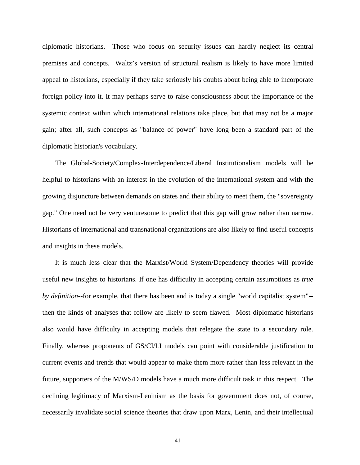diplomatic historians. Those who focus on security issues can hardly neglect its central premises and concepts. Waltz's version of structural realism is likely to have more limited appeal to historians, especially if they take seriously his doubts about being able to incorporate foreign policy into it. It may perhaps serve to raise consciousness about the importance of the systemic context within which international relations take place, but that may not be a major gain; after all, such concepts as "balance of power" have long been a standard part of the diplomatic historian's vocabulary.

The Global-Society/Complex-Interdependence/Liberal Institutionalism models will be helpful to historians with an interest in the evolution of the international system and with the growing disjuncture between demands on states and their ability to meet them, the "sovereignty gap." One need not be very venturesome to predict that this gap will grow rather than narrow. Historians of international and transnational organizations are also likely to find useful concepts and insights in these models.

It is much less clear that the Marxist/World System/Dependency theories will provide useful new insights to historians. If one has difficulty in accepting certain assumptions as *true by definition--*for example, that there has been and is today a single "world capitalist system"- then the kinds of analyses that follow are likely to seem flawed. Most diplomatic historians also would have difficulty in accepting models that relegate the state to a secondary role. Finally, whereas proponents of GS/CI/LI models can point with considerable justification to current events and trends that would appear to make them more rather than less relevant in the future, supporters of the M/WS/D models have a much more difficult task in this respect. The declining legitimacy of Marxism-Leninism as the basis for government does not, of course, necessarily invalidate social science theories that draw upon Marx, Lenin, and their intellectual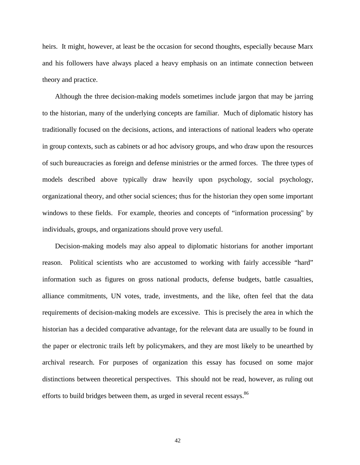heirs. It might, however, at least be the occasion for second thoughts, especially because Marx and his followers have always placed a heavy emphasis on an intimate connection between theory and practice.

Although the three decision-making models sometimes include jargon that may be jarring to the historian, many of the underlying concepts are familiar. Much of diplomatic history has traditionally focused on the decisions, actions, and interactions of national leaders who operate in group contexts, such as cabinets or ad hoc advisory groups, and who draw upon the resources of such bureaucracies as foreign and defense ministries or the armed forces. The three types of models described above typically draw heavily upon psychology, social psychology, organizational theory, and other social sciences; thus for the historian they open some important windows to these fields. For example, theories and concepts of "information processing" by individuals, groups, and organizations should prove very useful.

Decision-making models may also appeal to diplomatic historians for another important reason. Political scientists who are accustomed to working with fairly accessible "hard" information such as figures on gross national products, defense budgets, battle casualties, alliance commitments, UN votes, trade, investments, and the like, often feel that the data requirements of decision-making models are excessive. This is precisely the area in which the historian has a decided comparative advantage, for the relevant data are usually to be found in the paper or electronic trails left by policymakers, and they are most likely to be unearthed by archival research. For purposes of organization this essay has focused on some major distinctions between theoretical perspectives. This should not be read, however, as ruling out efforts to build bridges between them, as urged in several recent essays.<sup>86</sup>

42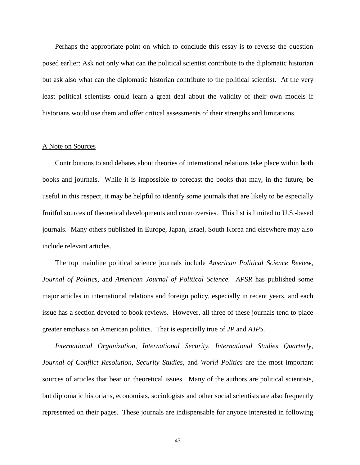Perhaps the appropriate point on which to conclude this essay is to reverse the question posed earlier: Ask not only what can the political scientist contribute to the diplomatic historian but ask also what can the diplomatic historian contribute to the political scientist. At the very least political scientists could learn a great deal about the validity of their own models if historians would use them and offer critical assessments of their strengths and limitations.

# A Note on Sources

Contributions to and debates about theories of international relations take place within both books and journals. While it is impossible to forecast the books that may, in the future, be useful in this respect, it may be helpful to identify some journals that are likely to be especially fruitful sources of theoretical developments and controversies. This list is limited to U.S.-based journals. Many others published in Europe, Japan, Israel, South Korea and elsewhere may also include relevant articles.

The top mainline political science journals include *American Political Science Review*, *Journal of Politics*, and *American Journal of Political Science*. *APSR* has published some major articles in international relations and foreign policy, especially in recent years, and each issue has a section devoted to book reviews. However, all three of these journals tend to place greater emphasis on American politics. That is especially true of *JP* and *AJPS*.

*International Organization*, *International Security*, *International Studies Quarterly*, *Journal of Conflict Resolution*, *Security Studies*, and *World Politics* are the most important sources of articles that bear on theoretical issues. Many of the authors are political scientists, but diplomatic historians, economists, sociologists and other social scientists are also frequently represented on their pages. These journals are indispensable for anyone interested in following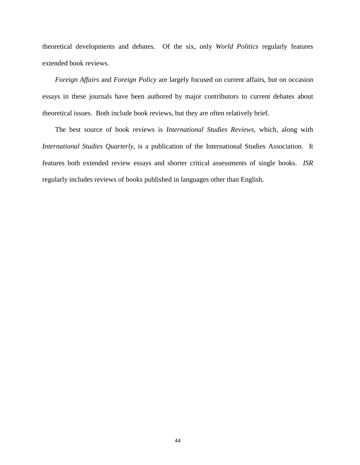theoretical developments and debates. Of the six, only *World Politics* regularly features extended book reviews.

*Foreign Affairs* and *Foreign Policy* are largely focused on current affairs, but on occasion essays in these journals have been authored by major contributors to current debates about theoretical issues. Both include book reviews, but they are often relatively brief.

The best source of book reviews is *International Studies Reviews*, which, along with *International Studies Quarterly*, is a publication of the International Studies Association. It features both extended review essays and shorter critical assessments of single books. *ISR* regularly includes reviews of books published in languages other than English.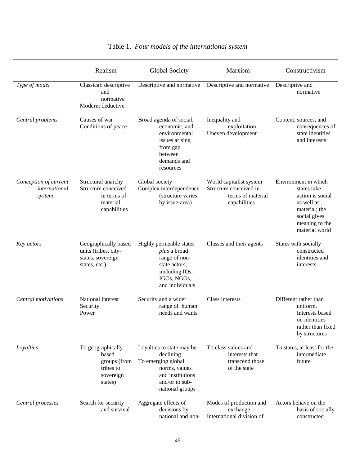|                                                         | Realism                                                                              | <b>Global Society</b>                                                                                                                  | Marxism                                                                                | Constructivism                                                                                                                             |
|---------------------------------------------------------|--------------------------------------------------------------------------------------|----------------------------------------------------------------------------------------------------------------------------------------|----------------------------------------------------------------------------------------|--------------------------------------------------------------------------------------------------------------------------------------------|
| Type of model                                           | Classical: descriptive<br>and<br>normative<br>Modern: deductive                      | Descriptive and normative                                                                                                              | Descriptive and normative                                                              | Descriptive and<br>normative                                                                                                               |
| Central problems                                        | Causes of war<br>Conditions of peace                                                 | Broad agenda of social,<br>economic, and<br>environmental<br>issues arising<br>from gap<br>between<br>demands and<br>resources         | Inequality and<br>exploitation<br>Uneven development                                   | Content, sources, and<br>consequences of<br>state identities<br>and interests                                                              |
| Conception of current<br><i>international</i><br>system | Structural anarchy<br>Structure conceived<br>in terms of<br>material<br>capabilities | Global society<br>Complex interdependence<br>(structure varies<br>by issue-area)                                                       | World capitalist system<br>Structure conceived in<br>terms of material<br>capabilities | Environment in which<br>states take<br>action is social<br>as well as<br>material; the<br>social gives<br>meaning to the<br>material world |
| Key actors                                              | Geographically based<br>units (tribes, city-<br>states, sovereign<br>states, etc.)   | Highly permeable states<br>plus a broad<br>range of non-<br>state actors,<br>including IOs,<br>IGOs, NGOs,<br>and individuals          | Classes and their agents                                                               | States with socially<br>constructed<br>identities and<br>interests                                                                         |
| Central motivations                                     | National interest<br>Security<br>Power                                               | Security and a wider<br>range of human<br>needs and wants                                                                              | Class interests                                                                        | Different rather than<br>uniform.<br>Interests based<br>on identities<br>rather than fixed<br>by structures                                |
| Loyalties                                               | To geographically<br>based<br>groups (from<br>tribes to<br>sovereign<br>states)      | Loyalties to state may be<br>declining<br>To emerging global<br>norms, values<br>and institutions<br>and/or to sub-<br>national groups | To class values and<br>interests that<br>transcend those<br>of the state               | To states, at least for the<br>intermediate<br>future                                                                                      |
| Central processes                                       | Search for security<br>and survival                                                  | Aggregate effects of<br>decisions by<br>national and non-                                                                              | Modes of production and<br>exchange<br>International division of                       | Actors behave on the<br>basis of socially<br>constructed                                                                                   |

# Table 1. *Four models of the international system*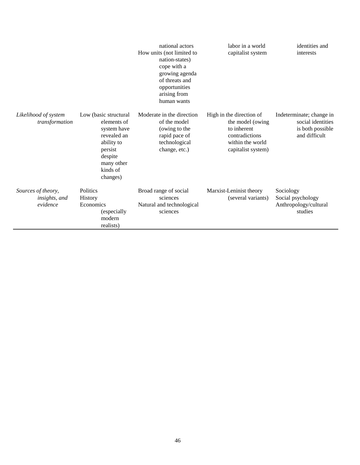|                                                 |                                                                                                                                              | national actors<br>How units (not limited to<br>nation-states)<br>cope with a<br>growing agenda<br>of threats and<br>opportunities<br>arising from<br>human wants | labor in a world<br>capitalist system                                                                                   | identities and<br>interests                                                        |
|-------------------------------------------------|----------------------------------------------------------------------------------------------------------------------------------------------|-------------------------------------------------------------------------------------------------------------------------------------------------------------------|-------------------------------------------------------------------------------------------------------------------------|------------------------------------------------------------------------------------|
| Likelihood of system<br>transformation          | Low (basic structural<br>elements of<br>system have<br>revealed an<br>ability to<br>persist<br>despite<br>many other<br>kinds of<br>changes) | Moderate in the direction<br>of the model<br>(owing to the<br>rapid pace of<br>technological<br>change, etc.)                                                     | High in the direction of<br>the model (owing<br>to inherent<br>contradictions<br>within the world<br>capitalist system) | Indeterminate; change in<br>social identities<br>is both possible<br>and difficult |
| Sources of theory,<br>insights, and<br>evidence | Politics<br>History<br>Economics<br>(especially<br>modern<br>realists)                                                                       | Broad range of social<br>sciences<br>Natural and technological<br>sciences                                                                                        | Marxist-Leninist theory<br>(several variants)                                                                           | Sociology<br>Social psychology<br>Anthropology/cultural<br>studies                 |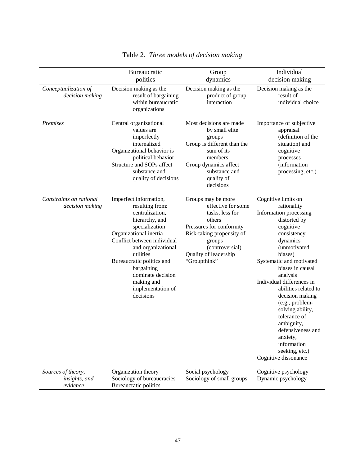|                                                 | Bureaucratic                                                                                                                                                                                                                                                                                                 | Group                                                                                                                                                                                                | Individual                                                                                                                                                                                                                                                                                                                                                                                                                                         |
|-------------------------------------------------|--------------------------------------------------------------------------------------------------------------------------------------------------------------------------------------------------------------------------------------------------------------------------------------------------------------|------------------------------------------------------------------------------------------------------------------------------------------------------------------------------------------------------|----------------------------------------------------------------------------------------------------------------------------------------------------------------------------------------------------------------------------------------------------------------------------------------------------------------------------------------------------------------------------------------------------------------------------------------------------|
|                                                 | politics                                                                                                                                                                                                                                                                                                     | dynamics                                                                                                                                                                                             | decision making                                                                                                                                                                                                                                                                                                                                                                                                                                    |
| Conceptualization of<br>decision making         | Decision making as the<br>result of bargaining<br>within bureaucratic<br>organizations                                                                                                                                                                                                                       | Decision making as the<br>product of group<br>interaction                                                                                                                                            | Decision making as the<br>result of<br>individual choice                                                                                                                                                                                                                                                                                                                                                                                           |
| Premises                                        | Central organizational<br>values are<br>imperfectly<br>internalized<br>Organizational behavior is<br>political behavior<br>Structure and SOPs affect<br>substance and<br>quality of decisions                                                                                                                | Most decisions are made<br>by small elite<br>groups<br>Group is different than the<br>sum of its<br>members<br>Group dynamics affect<br>substance and<br>quality of<br>decisions                     | Importance of subjective<br>appraisal<br>(definition of the<br>situation) and<br>cognitive<br>processes<br>(information<br>processing, etc.)                                                                                                                                                                                                                                                                                                       |
| Constraints on rational<br>decision making      | Imperfect information,<br>resulting from:<br>centralization,<br>hierarchy, and<br>specialization<br>Organizational inertia<br>Conflict between individual<br>and organizational<br>utilities<br>Bureaucratic politics and<br>bargaining<br>dominate decision<br>making and<br>implementation of<br>decisions | Groups may be more<br>effective for some<br>tasks, less for<br>others<br>Pressures for conformity<br>Risk-taking propensity of<br>groups<br>(controversial)<br>Quality of leadership<br>"Groupthink" | Cognitive limits on<br>rationality<br>Information processing<br>distorted by<br>cognitive<br>consistency<br>dynamics<br>(unmotivated<br>biases)<br>Systematic and motivated<br>biases in causal<br>analysis<br>Individual differences in<br>abilities related to<br>decision making<br>(e.g., problem-<br>solving ability,<br>tolerance of<br>ambiguity,<br>defensiveness and<br>anxiety,<br>information<br>seeking, etc.)<br>Cognitive dissonance |
| Sources of theory,<br>insights, and<br>evidence | Organization theory<br>Sociology of bureaucracies<br>Bureaucratic politics                                                                                                                                                                                                                                   | Social psychology<br>Sociology of small groups                                                                                                                                                       | Cognitive psychology<br>Dynamic psychology                                                                                                                                                                                                                                                                                                                                                                                                         |

# Table 2. *Three models of decision making*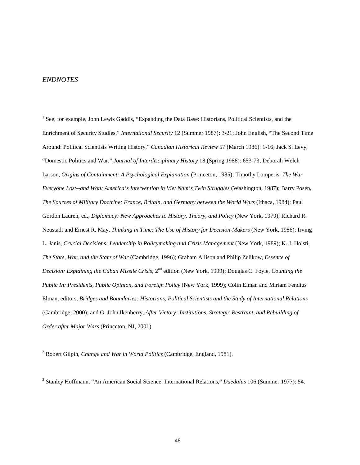#### *ENDNOTES*

 $\overline{a}$ 

<sup>1</sup> See, for example, John Lewis Gaddis, "Expanding the Data Base: Historians, Political Scientists, and the Enrichment of Security Studies," *International Security* 12 (Summer 1987): 3-21; John English, "The Second Time Around: Political Scientists Writing History," *Canadian Historical Review* 57 (March 1986): 1-16; Jack S. Levy, "Domestic Politics and War," *Journal of Interdisciplinary History* 18 (Spring 1988): 653-73; Deborah Welch Larson, *Origins of Containment: A Psychological Explanation* (Princeton, 1985); Timothy Lomperis*, The War Everyone Lost--and Won: America's Intervention in Viet Nam's Twin Struggles* (Washington, 1987); Barry Posen, *The Sources of Military Doctrine: France, Britain, and Germany between the World Wars* (Ithaca, 1984); Paul Gordon Lauren, ed., *Diplomacy: New Approaches to History, Theory, and Policy* (New York, 1979); Richard R. Neustadt and Ernest R. May, *Thinking in Time: The Use of History for Decision-Makers* (New York, 1986); Irving L. Janis, *Crucial Decisions: Leadership in Policymaking and Crisis Management* (New York, 1989); K. J. Holsti, *The State, War, and the State of War* (Cambridge, 1996); Graham Allison and Philip Zelikow, *Essence of Decision: Explaining the Cuban Missile Crisis*, 2nd edition (New York, 1999); Douglas C. Foyle, *Counting the Public In: Presidents, Public Opinion, and Foreign Policy* (New York, 1999); Colin Elman and Miriam Fendius Elman, editors, *Bridges and Boundaries: Historians, Political Scientists and the Study of International Relations* (Cambridge, 2000); and G. John Ikenberry, *After Victory: Institutions, Strategic Restraint, and Rebuilding of Order after Major Wars* (Princeton, NJ, 2001).

2 Robert Gilpin, *Change and War in World Politics* (Cambridge, England, 1981).

3 Stanley Hoffmann, "An American Social Science: International Relations," *Daedalus* 106 (Summer 1977): 54.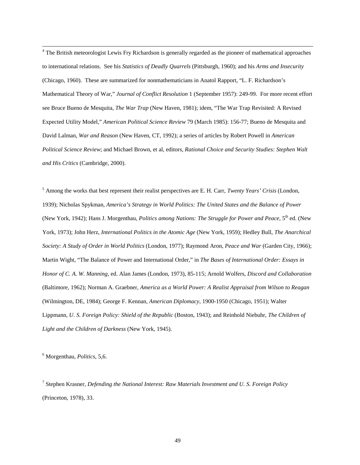$\frac{1}{4}$ <sup>4</sup> The British meteorologist Lewis Fry Richardson is generally regarded as the pioneer of mathematical approaches to international relations. See his *Statistics of Deadly Quarrels* (Pittsburgh, 1960); and his *Arms and Insecurity* (Chicago, 1960). These are summarized for nonmathematicians in Anatol Rapport, "L. F. Richardson's Mathematical Theory of War," *Journal of Conflict Resolution* 1 (September 1957): 249-99. For more recent effort see Bruce Bueno de Mesquita, *The War Trap* (New Haven, 1981); idem, "The War Trap Revisited: A Revised Expected Utility Model," *American Political Science Review* 79 (March 1985): 156-77; Bueno de Mesquita and David Lalman, *War and Reason* (New Haven, CT, 1992); a series of articles by Robert Powell in *American Political Science Review*; and Michael Brown, et al, editors, *Rational Choice and Security Studies: Stephen Walt and His Critics* (Cambridge, 2000).

5 Among the works that best represent their realist perspectives are E. H. Carr, *Twenty Years' Crisis* (London, 1939); Nicholas Spykman, *America's Strategy in World Politics: The United States and the Balance of Power* (New York, 1942); Hans J. Morgenthau, *Politics among Nations: The Struggle for Power and Peace*, 5<sup>th</sup> ed. (New York, 1973); John Herz, *International Politics in the Atomic Age* (New York, 1959); Hedley Bull, *The Anarchical Society: A Study of Order in World Politics* (London, 1977); Raymond Aron, *Peace and War* (Garden City, 1966); Martin Wight, "The Balance of Power and International Order," in *The Bases of International Order: Essays in Honor of C. A. W. Manning*, ed. Alan James (London, 1973), 85-115; Arnold Wolfers, *Discord and Collaboration* (Baltimore, 1962); Norman A. Graebner, *America as a World Power: A Realist Appraisal from Wilson to Reagan* (Wilmington, DE, 1984); George F. Kennan, *American Diplomacy*, 1900-1950 (Chicago, 1951); Walter Lippmann, *U. S. Foreign Policy: Shield of the Republic* (Boston, 1943); and Reinhold Niebuhr, *The Children of Light and the Children of Darkness* (New York, 1945).

6 Morgenthau, *Politics*, 5,6.

7 Stephen Krasner, *Defending the National Interest: Raw Materials Investment and U. S. Foreign Policy* (Princeton, 1978), 33.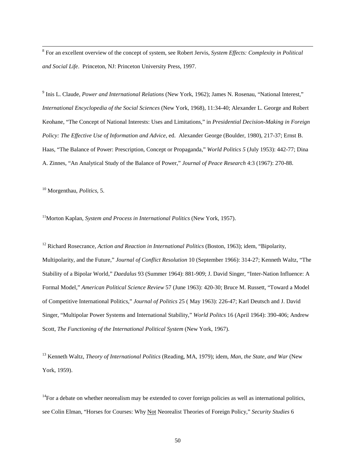8 For an excellent overview of the concept of system, see Robert Jervis, *System Effects: Complexity in Political and Social Life*. Princeton, NJ: Princeton University Press, 1997.

<sup>9</sup> Inis L. Claude, *Power and International Relations* (New York, 1962); James N. Rosenau, "National Interest," *International Encyclopedia of the Social Sciences* (New York, 1968), 11:34-40; Alexander L. George and Robert Keohane, "The Concept of National Interests: Uses and Limitations," in *Presidential Decision-Making in Foreign Policy: The Effective Use of Information and Advice*, ed. Alexander George (Boulder, 1980), 217-37; Ernst B. Haas, "The Balance of Power: Prescription, Concept or Propaganda," *World Politics 5* (July 1953): 442-77; Dina A. Zinnes, "An Analytical Study of the Balance of Power," *Journal of Peace Research* 4:3 (1967): 270-88.

10 Morgenthau, *Politics*, 5.

<sup>11</sup>Morton Kaplan, *System and Process in International Politics* (New York, 1957).

12 Richard Rosecrance, *Action and Reaction in International Politics* (Boston, 1963); idem, "Bipolarity, Multipolarity, and the Future," *Journal of Conflict Resolution* 10 (September 1966): 314-27; Kenneth Waltz, "The Stability of a Bipolar World," *Daedalus* 93 (Summer 1964): 881-909; J. David Singer, "Inter-Nation Influence: A Formal Model," *American Political Science Review* 57 (June 1963): 420-30; Bruce M. Russett, "Toward a Model of Competitive International Politics," *Journal of Politics* 25 ( May 1963): 226-47; Karl Deutsch and J. David Singer, "Multipolar Power Systems and International Stability," *World Politcs* 16 (April 1964): 390-406; Andrew Scott, *The Functioning of the International Political System* (New York, 1967).

13 Kenneth Waltz, *Theory of International Politics* (Reading, MA, 1979); idem, *Man, the State, and War* (New York, 1959).

 $14$ For a debate on whether neorealism may be extended to cover foreign policies as well as international politics, see Colin Elman, "Horses for Courses: Why Not Neorealist Theories of Foreign Policy," *Security Studies* 6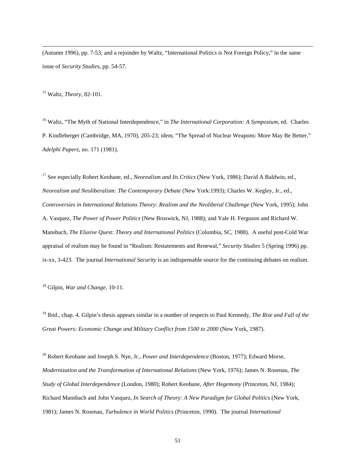(Autumn 1996), pp. 7-53; and a rejoinder by Waltz, "International Politics is Not Foreign Policy," in the same issue of *Security Studies*, pp. 54-57.

15 Waltz, *Theory*, 82-101.

 $\overline{a}$ 

16 Waltz, "The Myth of National Interdependence," in *The International Corporation: A Symposium*, ed. Charles P. Kindleberger (Cambridge, MA, 1970), 205-23; idem, "The Spread of Nuclear Weapons: More May Be Better," *Adelphi Papers*, no. 171 (1981).

<sup>17</sup> See especially Robert Keohane, ed., *Neorealism and Its Critics* (New York, 1986); David A Baldwin, ed., *Neorealism and Neoliberalism: The Contemporary Debate* (New York:1993); Charles W. Kegley, Jr., ed., *Controversies in International Relations Theory: Realism and the Neoliberal Challenge* (New York, 1995); John A. Vasquez, *The Power of Power Politics* (New Bruswick, NJ, 1988); and Yale H. Ferguson and Richard W. Mansbach, *The Elusive Quest: Theory and International Politics* (Columbia, SC, 1988). A useful post-Cold War appraisal of realism may be found in "Realism: Restatements and Renewal," *Security Studies* 5 (Spring 1996) pp. ix-xx, 3-423. The journal *International Security* is an indispensable source for the continuing debates on realism.

18 Gilpin, *War and Change*, 10-11.

19 Ibid., chap. 4. Gilpin's thesis appears similar in a number of respects to Paul Kennedy, *The Rise and Fall of the Great Powers: Economic Change and Military Conflict from 1500 to 2000* (New York, 1987).

20 Robert Keohane and Joseph S. Nye, Jr., *Power and Interdependence* (Boston, 1977); Edward Morse, *Modernization and the Transformation of International Relations* (New York, 1976); James N. Rosenau, *The Study of Global Interdependence* (London, 1980); Robert Keohane, *After Hegemony* (Princeton, NJ, 1984); Richard Mansbach and John Vasquez, *In Search of Theory: A New Paradigm for Global Politics* (New York, 1981); James N. Rosenau, *Turbulence in World Politics* (Princeton, 1990). The journal *International*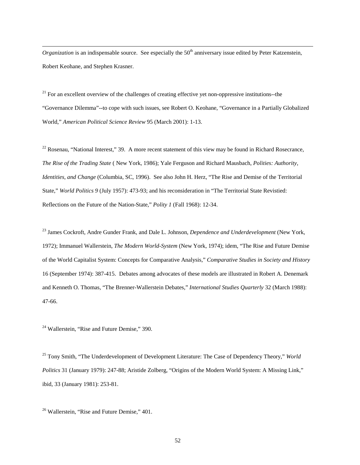$Organization$  is an indispensable source. See especially the  $50<sup>th</sup>$  anniversary issue edited by Peter Katzenstein, Robert Keohane, and Stephen Krasner.

 $21$  For an excellent overview of the challenges of creating effective yet non-oppressive institutions--the "Governance Dilemma"--to cope with such issues, see Robert O. Keohane, "Governance in a Partially Globalized World," *American Political Science Review* 95 (March 2001): 1-13.

<sup>22</sup> Rosenau, "National Interest," 39. A more recent statement of this view may be found in Richard Rosecrance, *The Rise of the Trading State* ( New York, 1986); Yale Ferguson and Richard Mausbach, *Polities: Authority, Identities, and Change* (Columbia, SC, 1996). See also John H. Herz, "The Rise and Demise of the Territorial State," *World Politics 9* (July 1957): 473-93; and his reconsideration in "The Territorial State Revistied: Reflections on the Future of the Nation-State," *Polity 1* (Fall 1968): 12-34.

23 James Cockroft, Andre Gunder Frank, and Dale L. Johnson, *Dependence and Underdevelopment* (New York, 1972); Immanuel Wallerstein, *The Modern World-System* (New York, 1974); idem, "The Rise and Future Demise of the World Capitalist System: Concepts for Comparative Analysis," *Comparative Studies in Society and History* 16 (September 1974): 387-415. Debates among advocates of these models are illustrated in Robert A. Denemark and Kenneth O. Thomas, "The Brenner-Wallerstein Debates," *International Studies Quarterly* 32 (March 1988): 47-66.

<sup>24</sup> Wallerstein, "Rise and Future Demise," 390.

 $\overline{a}$ 

25 Tony Smith, "The Underdevelopment of Development Literature: The Case of Dependency Theory," *World Politics* 31 (January 1979): 247-88; Aristide Zolberg, "Origins of the Modern World System: A Missing Link," ibid, 33 (January 1981): 253-81.

<sup>26</sup> Wallerstein, "Rise and Future Demise," 401.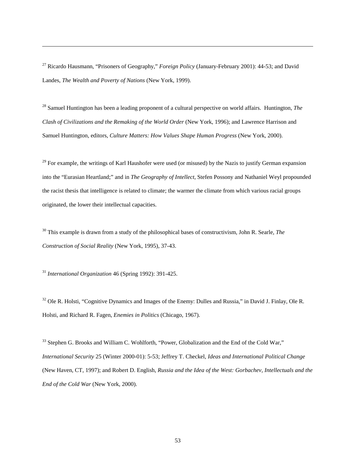27 Ricardo Hausmann, "Prisoners of Geography," *Foreign Policy* (January-February 2001): 44-53; and David Landes, *The Wealth and Poverty of Nations* (New York, 1999).

28 Samuel Huntington has been a leading proponent of a cultural perspective on world affairs. Huntington, *The Clash of Civilizations and the Remaking of the World Order* (New York, 1996); and Lawrence Harrison and Samuel Huntington, editors, *Culture Matters: How Values Shape Human Progress* (New York, 2000).

<sup>29</sup> For example, the writings of Karl Haushofer were used (or misused) by the Nazis to justify German expansion into the "Eurasian Heartland;" and in *The Geography of Intellect*, Stefen Possony and Nathaniel Weyl propounded the racist thesis that intelligence is related to climate; the warmer the climate from which various racial groups originated, the lower their intellectual capacities.

30 This example is drawn from a study of the philosophical bases of constructivism, John R. Searle, *The Construction of Social Reality* (New York, 1995), 37-43.

<sup>31</sup> *International Organization* 46 (Spring 1992): 391-425.

 $\overline{a}$ 

<sup>32</sup> Ole R. Holsti, "Cognitive Dynamics and Images of the Enemy: Dulles and Russia," in David J. Finlay, Ole R. Holsti, and Richard R. Fagen, *Enemies in Politics* (Chicago, 1967).

<sup>33</sup> Stephen G. Brooks and William C. Wohlforth, "Power, Globalization and the End of the Cold War," *International Security* 25 (Winter 2000-01): 5-53; Jeffrey T. Checkel, *Ideas and International Political Change* (New Haven, CT, 1997); and Robert D. English, *Russia and the Idea of the West: Gorbachev, Intellectuals and the End of the Cold War* (New York, 2000).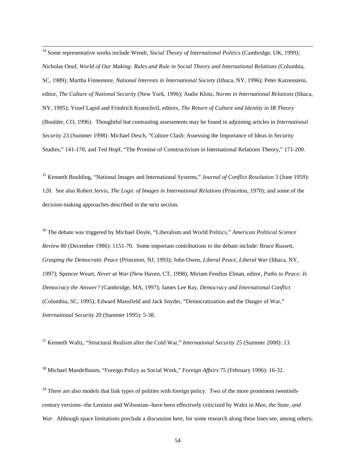34 Some representative works include Wendt, *Social Theory of International Politics* (Cambridge, UK, 1999); Nicholas Onuf, *World of Our Making: Rules and Rule in Social Theory and International Relations* (Columbia, SC, 1989); Martha Finnemore, *National Interests in International Society* (Ithaca, NY, 1996); Peter Katzenstein, editor, *The Culture of National Security* (New York, 1996); Audie Klotz, *Norms in International Relations* (Ithaca, NY, 1995); Yosef Lapid and Friedrich Kratochvil, editors, *The Return of Culture and Identity in IR Theory* (Boulder, CO, 1996). Thoughtful but contrasting assessments may be found in adjoining articles in *International Security* 23 (Summer 1998): Michael Desch, "Culture Clash: Assessing the Importance of Ideas in Security Studies," 141-170; and Ted Hopf, "The Promise of Constructivism in International Relations Theory," 171-200.

35 Kenneth Boulding, "National Images and International Systems," *Journal of Conflict Resolution* 3 (June 1959): 120. See also Robert Jervis, *The Logic of Images in International Relations* (Princeton, 1970); and some of the decision-making approaches described in the next section.

36 The debate was triggered by Michael Doyle, "Liberalism and World Politics," *American Political Science Review* 80 (December 1986): 1151-70. Some important contributions to the debate include: Bruce Russett, *Grasping the Democratic Peace* (Princeton, NJ, 1993); John Owen, *Liberal Peace, Liberal War* (Ithaca, NY, 1997); Spencer Weart, *Never at War* (New Haven, CT, 1998); Miriam Fendius Elman, editor, *Paths to Peace: Is Democracy the Answer?* (Cambridge, MA, 1997); James Lee Ray, *Democracy and International Conflict* (Columbia, SC, 1995); Edward Mansfield and Jack Snyder, "Democratization and the Danger of War," *International Security* 20 (Summer 1995): 5-38.

37 Kenneth Waltz, "Structural Realism after the Cold War," *International Security* 25 (Summer 2000): 13.

38 Michael Mandelbaum, "Foreign Policy as Social Work," *Foreign Affairs* 75 (February 1996): 16-32.

 $39$  There are also models that link types of polities with foreign policy. Two of the more prominent twentiethcentury versions--the Leninist and Wilsonian--have been effectively criticized by Waltz in *Man, the State, and War.* Although space limitations preclude a discussion here, for some research along these lines see, among others,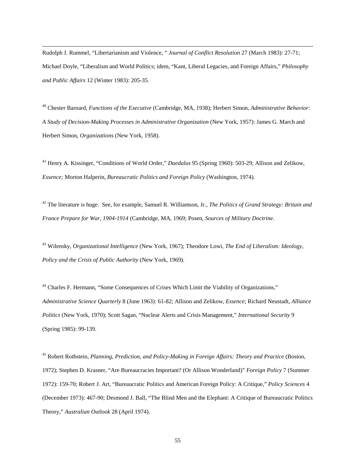Rudolph J. Rummel, "Libertarianism and Violence, " *Journal of Conflict Resolution* 27 (March 1983): 27-71; Michael Doyle, "Liberalism and World Politics; idem, "Kant, Liberal Legacies, and Foreign Affairs," *Philosophy and Public Affairs* 12 (Winter 1983): 205-35.

 $\overline{a}$ 

40 Chester Barnard, *Functions of the Executive* (Cambridge, MA, 1938); Herbert Simon, *Administrative Behavior: A Study of Decision-Making Processes in Administrative Organization* (New York, 1957): James G. March and Herbert Simon, *Organizations* (New York, 1958).

41 Henry A. Kissinger, "Conditions of World Order," *Daedalus* 95 (Spring 1960): 503-29; Allison and Zelikow, *Essence;* Morton Halperin, *Bureaucratic Politics and Foreign Policy* (Washington, 1974).

42 The literature is huge. See, for example, Samuel R. Williamson, Jr., *The Politics of Grand Strategy: Britain and France Prepare for War, 1904-1914* (Cambridge, MA, 1969; Posen, *Sources of Military Doctrine*.

43 Wilensky, *Organizational Intelligence* (New York, 1967); Theodore Lowi, *The End of Liberalism: Ideology, Policy and the Crisis of Public Authority* (New York, 1969).

<sup>44</sup> Charles F. Hermann, "Some Consequences of Crises Which Limit the Viability of Organizations," *Administrative Science Quarterly* 8 (June 1963): 61-82; Allison and Zelikow, *Essence*; Richard Neustadt, *Alliance Politics* (New York, 1970); Scott Sagan, "Nuclear Alerts and Crisis Management," *International Security* 9 (Spring 1985): 99-139.

45 Robert Rothstein, *Planning, Prediction, and Policy-Making in Foreign Affairs: Theory and Practice* (Boston, 1972); Stephen D. Krasner, "Are Bureaucracies Important? (Or Allison Wonderland)" *Foreign Policy* 7 (Summer 1972): 159-70; Robert J. Art, "Bureaucratic Politics and American Foreign Policy: A Critique," *Policy Sciences* 4 (December 1973): 467-90; Desmond J. Ball, "The Blind Men and the Elephant: A Critique of Bureaucratic Politics Theory," *Australian Outlook* 28 (April 1974).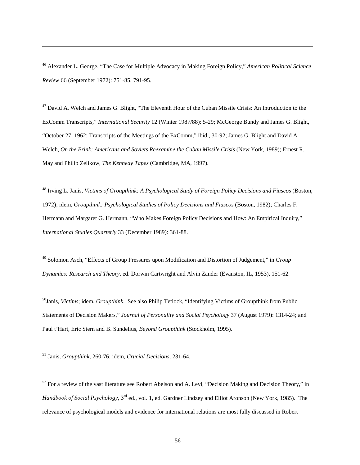46 Alexander L. George, "The Case for Multiple Advocacy in Making Foreign Policy," *American Political Science Review* 66 (September 1972): 751-85, 791-95.

<sup>47</sup> David A. Welch and James G. Blight, "The Eleventh Hour of the Cuban Missile Crisis: An Introduction to the ExComm Transcripts," *International Security* 12 (Winter 1987/88): 5-29; McGeorge Bundy and James G. Blight, "October 27, 1962: Transcripts of the Meetings of the ExComm," ibid., 30-92; James G. Blight and David A. Welch, *On the Brink: Americans and Soviets Reexamine the Cuban Missile Crisis* (New York, 1989); Ernest R. May and Philip Zelikow, *The Kennedy Tapes* (Cambridge, MA, 1997).

48 Irving L. Janis, *Victims of Groupthink: A Psychological Study of Foreign Policy Decisions and Fiascos* (Boston, 1972); idem, *Groupthink: Psychological Studies of Policy Decisions and Fiascos* (Boston, 1982); Charles F. Hermann and Margaret G. Hermann, "Who Makes Foreign Policy Decisions and How: An Empirical Inquiry," *International Studies Quarterly* 33 (December 1989): 361-88.

49 Solomon Asch, "Effects of Group Pressures upon Modification and Distortion of Judgement," in *Group Dynamics: Research and Theory*, ed. Dorwin Cartwright and Alvin Zander (Evanston, IL, 1953), 151-62.

50Janis, *Victims*; idem, *Groupthink*. See also Philip Tetlock, "Identifying Victims of Groupthink from Public Statements of Decision Makers," *Journal of Personality and Social Psychology* 37 (August 1979): 1314-24; and Paul t'Hart, Eric Stern and B. Sundelius, *Beyond Groupthink* (Stockholm, 1995).

51 Janis, *Groupthink*, 260-76; idem, *Crucial Decisions*, 231-64.

 $\overline{a}$ 

 $52$  For a review of the vast literature see Robert Abelson and A. Levi, "Decision Making and Decision Theory," in *Handbook of Social Psychology*, 3rd ed., vol. 1, ed. Gardner Lindzey and Elliot Aronson (New York, 1985). The relevance of psychological models and evidence for international relations are most fully discussed in Robert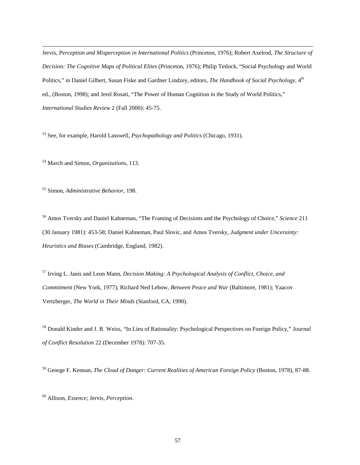Jervis, *Perception and Misperception in International Politics* (Princeton, 1976); Robert Axelrod, *The Structure of Decision: The Cognitive Maps of Political Elites* (Princeton, 1976); Philip Tetlock, "Social Psychology and World Politics," in Daniel Gilbert, Susan Fiske and Gardner Lindzey, editors, *The Handbook of Social Psychology*, 4<sup>th</sup> ed., (Boston, 1998); and Jerel Rosati, "The Power of Human Cognition in the Study of World Politics," *International Studies Review* 2 (Fall 2000): 45-75.

53 See, for example, Harold Lasswell, *Psychopathology and Politics* (Chicago, 1931).

54 March and Simon, *Organizations*, 113.

 $\overline{a}$ 

55 Simon, *Administrative Behavior*, 198.

56 Amos Tversky and Daniel Kahneman, "The Framing of Decisions and the Psychology of Choice," *Science* 211 (30 January 1981): 453-58; Daniel Kahneman, Paul Slovic, and Amos Tversky, *Judgment under Uncerainty: Heuristics and Biases* (Cambridge, England, 1982).

57 Irving L. Janis and Leon Mann, *Decision Making: A Psychological Analysis of Conflict, Choice, and Commitment* (New York, 1977); Richard Ned Lebow, *Between Peace and War* (Baltimore, 1981); Yaacov Vertzberger, *The World in Their Minds* (Stanford, CA, 1990).

58 Donald Kinder and J. R. Weiss, "In Lieu of Rationality: Psychological Perspectives on Foreign Policy," *Journal of Conflict Resolution* 22 (December 1978): 707-35.

59 George F. Kennan, *The Cloud of Danger: Current Realities of American Foreign Policy* (Boston, 1978), 87-88.

60 Allison, *Essence*; Jervis, *Perception*.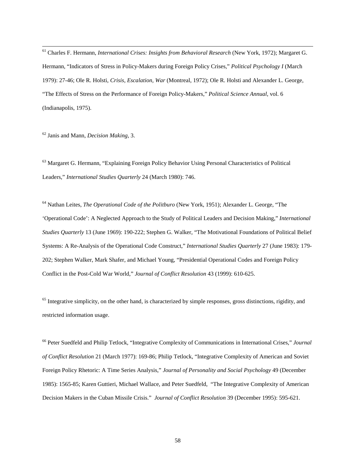61 Charles F. Hermann, *International Crises: Insights from Behavioral Research* (New York, 1972); Margaret G. Hermann, "Indicators of Stress in Policy-Makers during Foreign Policy Crises," *Political Psychology I* (March 1979): 27-46; Ole R. Holsti, *Crisis, Escalation, War* (Montreal, 1972); Ole R. Holsti and Alexander L. George, "The Effects of Stress on the Performance of Foreign Policy-Makers," *Political Science Annual*, vol. 6 (Indianapolis, 1975).

62 Janis and Mann, *Decision Making*, 3.

 $63$  Margaret G. Hermann, "Explaining Foreign Policy Behavior Using Personal Characteristics of Political Leaders," *International Studies Quarterly* 24 (March 1980): 746.

64 Nathan Leites, *The Operational Code of the Politburo* (New York, 1951); Alexander L. George, "The 'Operational Code': A Neglected Approach to the Study of Political Leaders and Decision Making," *International Studies Quarterly* 13 (June 1969): 190-222; Stephen G. Walker, "The Motivational Foundations of Political Belief Systems: A Re-Analysis of the Operational Code Construct," *International Studies Quarterly* 27 (June 1983): 179- 202; Stephen Walker, Mark Shafer, and Michael Young, "Presidential Operational Codes and Foreign Policy Conflict in the Post-Cold War World," *Journal of Conflict Resolution* 43 (1999): 610-625.

 $<sup>65</sup>$  Integrative simplicity, on the other hand, is characterized by simple responses, gross distinctions, rigidity, and</sup> restricted information usage.

66 Peter Suedfeld and Philip Tetlock, "Integrative Complexity of Communications in International Crises," *Journal of Conflict Resolution* 21 (March 1977): 169-86; Philip Tetlock, "Integrative Complexity of American and Soviet Foreign Policy Rhetoric: A Time Series Analysis," *Journal of Personality and Social Psychology* 49 (December 1985): 1565-85; Karen Guttieri, Michael Wallace, and Peter Suedfeld, "The Integrative Complexity of American Decision Makers in the Cuban Missile Crisis." *Journal of Conflict Resolution* 39 (December 1995): 595-621.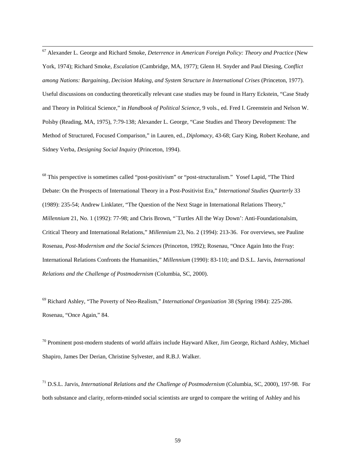67 Alexander L. George and Richard Smoke, *Deterrence in American Foreign Policy: Theory and Practice* (New York, 1974); Richard Smoke, *Escalation* (Cambridge, MA, 1977); Glenn H. Snyder and Paul Diesing, *Conflict among Nations: Bargaining, Decision Making, and System Structure in International Crises* (Princeton, 1977). Useful discussions on conducting theoretically relevant case studies may be found in Harry Eckstein, "Case Study and Theory in Political Science," in *Handbook of Political Science*, 9 vols., ed. Fred I. Greenstein and Nelson W. Polsby (Reading, MA, 1975), 7:79-138; Alexander L. George, "Case Studies and Theory Development: The Method of Structured, Focused Comparison," in Lauren, ed., *Diplomacy*, 43-68; Gary King, Robert Keohane, and Sidney Verba, *Designing Social Inquiry* (Princeton, 1994).

<sup>68</sup> This perspective is sometimes called "post-positivism" or "post-structuralism." Yosef Lapid, "The Third Debate: On the Prospects of International Theory in a Post-Positivist Era," *International Studies Quarterly* 33 (1989): 235-54; Andrew Linklater, "The Question of the Next Stage in International Relations Theory," *Millennium* 21, No. 1 (1992): 77-98; and Chris Brown, "`Turtles All the Way Down': Anti-Foundationalsim, Critical Theory and International Relations," *Millennium* 23, No. 2 (1994): 213-36. For overviews, see Pauline Rosenau, *Post-Modernism and the Social Sciences* (Princeton, 1992); Rosenau, "Once Again Into the Fray: International Relations Confronts the Humanities," *Millennium* (1990): 83-110; and D.S.L. Jarvis, *International Relations and the Challenge of Postmodernism* (Columbia, SC, 2000).

69 Richard Ashley, "The Poverty of Neo-Realism," *International Organization* 38 (Spring 1984): 225-286. Rosenau, "Once Again," 84.

 $70$  Prominent post-modern students of world affairs include Hayward Alker, Jim George, Richard Ashley, Michael Shapiro, James Der Derian, Christine Sylvester, and R.B.J. Walker.

71 D.S.L. Jarvis, *International Relations and the Challenge of Postmodernism* (Columbia, SC, 2000), 197-98. For both substance and clarity, reform-minded social scientists are urged to compare the writing of Ashley and his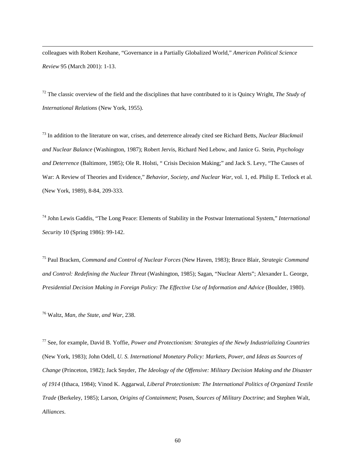colleagues with Robert Keohane, "Governance in a Partially Globalized World," *American Political Science Review* 95 (March 2001): 1-13.

72 The classic overview of the field and the disciplines that have contributed to it is Quincy Wright, *The Study of International Relations* (New York, 1955).

73 In addition to the literature on war, crises, and deterrence already cited see Richard Betts, *Nuclear Blackmail and Nuclear Balance* (Washington, 1987); Robert Jervis, Richard Ned Lebow, and Janice G. Stein, *Psychology and Deterrence* (Baltimore, 1985); Ole R. Holsti, " Crisis Decision Making;" and Jack S. Levy, "The Causes of War: A Review of Theories and Evidence," *Behavior, Society, and Nuclear War*, vol. 1, ed. Philip E. Tetlock et al. (New York, 1989), 8-84, 209-333.

74 John Lewis Gaddis, "The Long Peace: Elements of Stability in the Postwar International System," *International Security* 10 (Spring 1986): 99-142.

75 Paul Bracken, *Command and Control of Nuclear Forces* (New Haven, 1983); Bruce Blair, *Strategic Command and Control: Redefining the Nuclear Threat* (Washington, 1985); Sagan, "Nuclear Alerts"; Alexander L. George, *Presidential Decision Making in Foreign Policy: The Effective Use of Information and Advice* (Boulder, 1980).

76 Waltz, *Man, the State, and War*, 238.

 $\overline{a}$ 

77 See, for example, David B. Yoffie, *Power and Protectionism: Strategies of the Newly Industrializing Countries* (New York, 1983); John Odell, *U. S. International Monetary Policy: Markets, Power, and Ideas as Sources of Change* (Princeton, 1982); Jack Snyder, *The Ideology of the Offensive: Military Decision Making and the Disaster of 1914* (Ithaca, 1984); Vinod K. Aggarwal, *Liberal Protectionism: The International Politics of Organized Textile Trade* (Berkeley, 1985); Larson, *Origins of Containment*; Posen, *Sources of Military Doctrine*; and Stephen Walt, *Alliances*.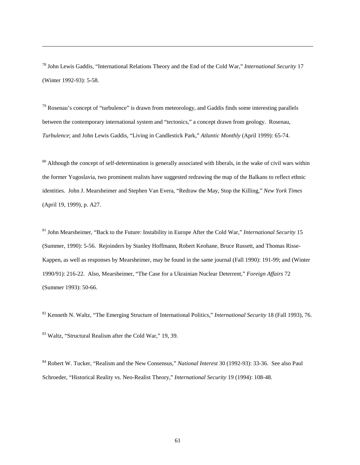78 John Lewis Gaddis, "International Relations Theory and the End of the Cold War," *International Security* 17 (Winter 1992-93): 5-58.

 $\overline{a}$ 

<sup>79</sup> Rosenau's concept of "turbulence" is drawn from meteorology, and Gaddis finds some interesting parallels between the contemporary international system and "tectonics," a concept drawn from geology. Rosenau, *Turbulence*; and John Lewis Gaddis, "Living in Candlestick Park," *Atlantic Monthly* (April 1999): 65-74.

<sup>80</sup> Although the concept of self-determination is generally associated with liberals, in the wake of civil wars within the former Yugoslavia, two prominent realists have suggested redrawing the map of the Balkans to reflect ethnic identities. John J. Mearsheimer and Stephen Van Evera, "Redraw the May, Stop the Killing," *New York Times* (April 19, 1999), p. A27.

81 John Mearsheimer, "Back to the Future: Instability in Europe After the Cold War," *International Security* 15 (Summer, 1990): 5-56. Rejoinders by Stanley Hoffmann, Robert Keohane, Bruce Russett, and Thomas Risse-Kappen, as well as responses by Mearsheimer, may be found in the same journal (Fall 1990): 191-99; and (Winter 1990/91): 216-22. Also, Mearsheimer, "The Case for a Ukrainian Nuclear Deterrent," *Foreign Affairs* 72 (Summer 1993): 50-66.

82 Kenneth N. Waltz, "The Emerging Structure of International Politics," *International Security* 18 (Fall 1993), 76. 83 Waltz, "Structural Realism after the Cold War," 19, 39.

84 Robert W. Tucker, "Realism and the New Consensus," *National Interest* 30 (1992-93): 33-36. See also Paul Schroeder, "Historical Reality vs. Neo-Realist Theory," *International Security* 19 (1994): 108-48.